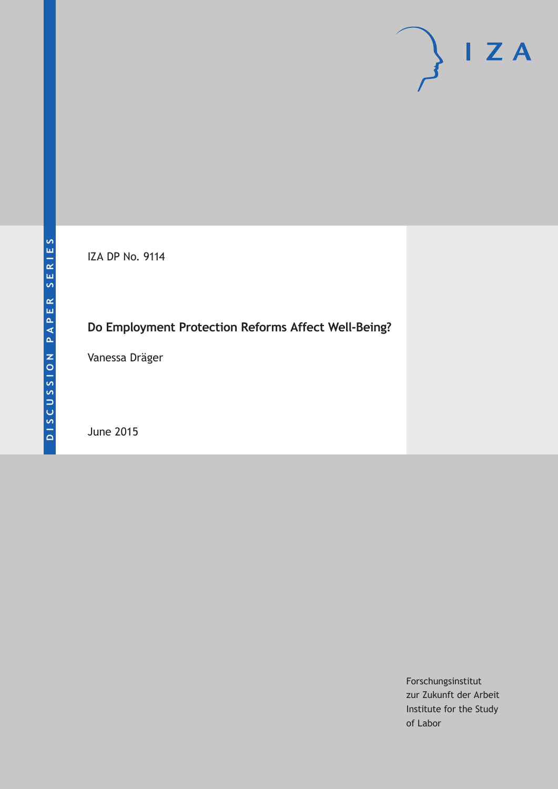

IZA DP No. 9114

## **Do Employment Protection Reforms Affect Well-Being?**

Vanessa Dräger

June 2015

Forschungsinstitut zur Zukunft der Arbeit Institute for the Study of Labor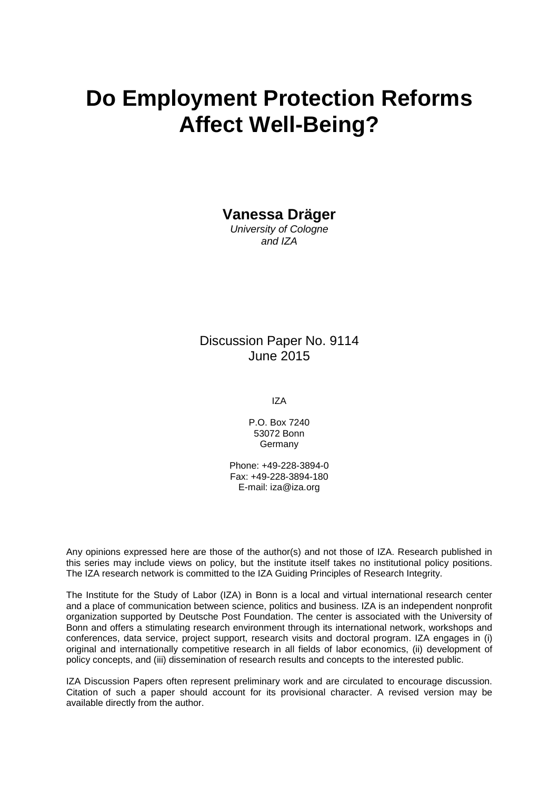# **Do Employment Protection Reforms Affect Well-Being?**

### **Vanessa Dräger**

*University of Cologne and IZA*

### Discussion Paper No. 9114 June 2015

IZA

P.O. Box 7240 53072 Bonn Germany

Phone: +49-228-3894-0 Fax: +49-228-3894-180 E-mail: iza@iza.org

Any opinions expressed here are those of the author(s) and not those of IZA. Research published in this series may include views on policy, but the institute itself takes no institutional policy positions. The IZA research network is committed to the IZA Guiding Principles of Research Integrity.

The Institute for the Study of Labor (IZA) in Bonn is a local and virtual international research center and a place of communication between science, politics and business. IZA is an independent nonprofit organization supported by Deutsche Post Foundation. The center is associated with the University of Bonn and offers a stimulating research environment through its international network, workshops and conferences, data service, project support, research visits and doctoral program. IZA engages in (i) original and internationally competitive research in all fields of labor economics, (ii) development of policy concepts, and (iii) dissemination of research results and concepts to the interested public.

IZA Discussion Papers often represent preliminary work and are circulated to encourage discussion. Citation of such a paper should account for its provisional character. A revised version may be available directly from the author.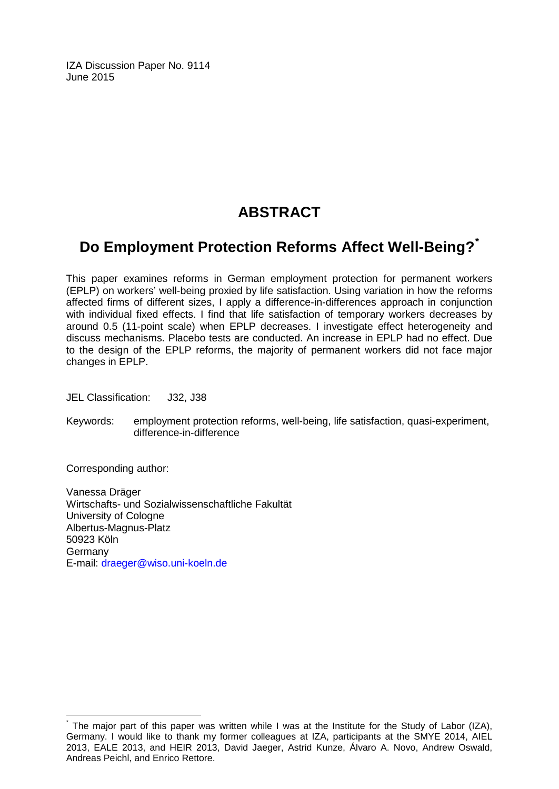IZA Discussion Paper No. 9114 June 2015

## **ABSTRACT**

## **Do Employment Protection Reforms Affect Well-Being?[\\*](#page-2-0)**

This paper examines reforms in German employment protection for permanent workers (EPLP) on workers' well-being proxied by life satisfaction. Using variation in how the reforms affected firms of different sizes, I apply a difference-in-differences approach in conjunction with individual fixed effects. I find that life satisfaction of temporary workers decreases by around 0.5 (11-point scale) when EPLP decreases. I investigate effect heterogeneity and discuss mechanisms. Placebo tests are conducted. An increase in EPLP had no effect. Due to the design of the EPLP reforms, the majority of permanent workers did not face major changes in EPLP.

JEL Classification: J32, J38

Keywords: employment protection reforms, well-being, life satisfaction, quasi-experiment, difference-in-difference

Corresponding author:

Vanessa Dräger Wirtschafts- und Sozialwissenschaftliche Fakultät University of Cologne Albertus-Magnus-Platz 50923 Köln Germany E-mail: [draeger@wiso.uni-koeln.de](mailto:draeger@wiso.uni-koeln.de)

<span id="page-2-0"></span>The major part of this paper was written while I was at the Institute for the Study of Labor (IZA), Germany. I would like to thank my former colleagues at IZA, participants at the SMYE 2014, AIEL 2013, EALE 2013, and HEIR 2013, David Jaeger, Astrid Kunze, Álvaro A. Novo, Andrew Oswald, Andreas Peichl, and Enrico Rettore.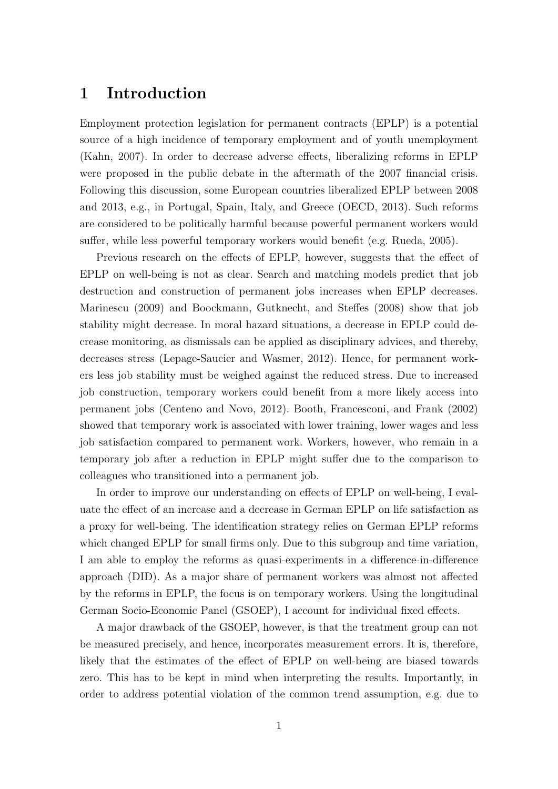## 1 Introduction

Employment protection legislation for permanent contracts (EPLP) is a potential source of a high incidence of temporary employment and of youth unemployment (Kahn, 2007). In order to decrease adverse effects, liberalizing reforms in EPLP were proposed in the public debate in the aftermath of the 2007 financial crisis. Following this discussion, some European countries liberalized EPLP between 2008 and 2013, e.g., in Portugal, Spain, Italy, and Greece (OECD, 2013). Such reforms are considered to be politically harmful because powerful permanent workers would suffer, while less powerful temporary workers would benefit (e.g. Rueda, 2005).

Previous research on the effects of EPLP, however, suggests that the effect of EPLP on well-being is not as clear. Search and matching models predict that job destruction and construction of permanent jobs increases when EPLP decreases. Marinescu (2009) and Boockmann, Gutknecht, and Steffes (2008) show that job stability might decrease. In moral hazard situations, a decrease in EPLP could decrease monitoring, as dismissals can be applied as disciplinary advices, and thereby, decreases stress (Lepage-Saucier and Wasmer, 2012). Hence, for permanent workers less job stability must be weighed against the reduced stress. Due to increased job construction, temporary workers could benefit from a more likely access into permanent jobs (Centeno and Novo, 2012). Booth, Francesconi, and Frank (2002) showed that temporary work is associated with lower training, lower wages and less job satisfaction compared to permanent work. Workers, however, who remain in a temporary job after a reduction in EPLP might suffer due to the comparison to colleagues who transitioned into a permanent job.

In order to improve our understanding on effects of EPLP on well-being, I evaluate the effect of an increase and a decrease in German EPLP on life satisfaction as a proxy for well-being. The identification strategy relies on German EPLP reforms which changed EPLP for small firms only. Due to this subgroup and time variation, I am able to employ the reforms as quasi-experiments in a difference-in-difference approach (DID). As a major share of permanent workers was almost not affected by the reforms in EPLP, the focus is on temporary workers. Using the longitudinal German Socio-Economic Panel (GSOEP), I account for individual fixed effects.

A major drawback of the GSOEP, however, is that the treatment group can not be measured precisely, and hence, incorporates measurement errors. It is, therefore, likely that the estimates of the effect of EPLP on well-being are biased towards zero. This has to be kept in mind when interpreting the results. Importantly, in order to address potential violation of the common trend assumption, e.g. due to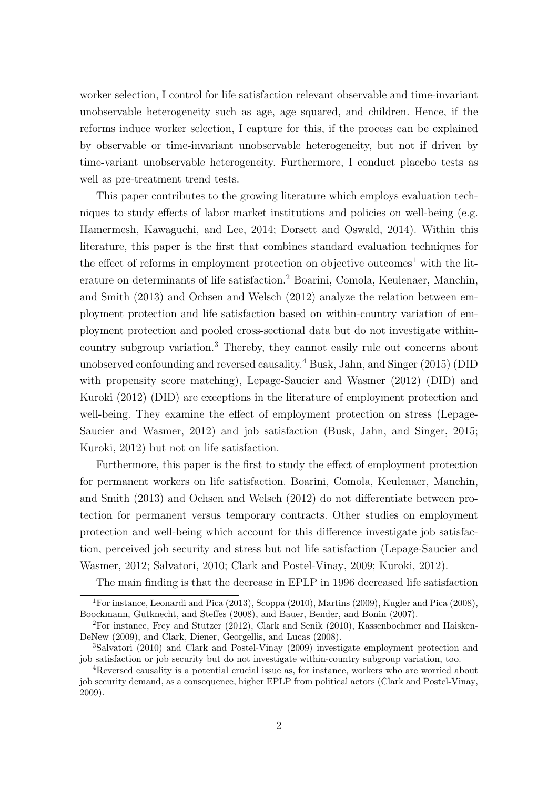worker selection, I control for life satisfaction relevant observable and time-invariant unobservable heterogeneity such as age, age squared, and children. Hence, if the reforms induce worker selection, I capture for this, if the process can be explained by observable or time-invariant unobservable heterogeneity, but not if driven by time-variant unobservable heterogeneity. Furthermore, I conduct placebo tests as well as pre-treatment trend tests.

This paper contributes to the growing literature which employs evaluation techniques to study effects of labor market institutions and policies on well-being (e.g. Hamermesh, Kawaguchi, and Lee, 2014; Dorsett and Oswald, 2014). Within this literature, this paper is the first that combines standard evaluation techniques for the effect of reforms in employment protection on objective outcomes<sup>1</sup> with the literature on determinants of life satisfaction.<sup>2</sup> Boarini, Comola, Keulenaer, Manchin, and Smith (2013) and Ochsen and Welsch (2012) analyze the relation between employment protection and life satisfaction based on within-country variation of employment protection and pooled cross-sectional data but do not investigate withincountry subgroup variation.<sup>3</sup> Thereby, they cannot easily rule out concerns about unobserved confounding and reversed causality.<sup>4</sup> Busk, Jahn, and Singer  $(2015)$  (DID with propensity score matching), Lepage-Saucier and Wasmer (2012) (DID) and Kuroki (2012) (DID) are exceptions in the literature of employment protection and well-being. They examine the effect of employment protection on stress (Lepage-Saucier and Wasmer, 2012) and job satisfaction (Busk, Jahn, and Singer, 2015; Kuroki, 2012) but not on life satisfaction.

Furthermore, this paper is the first to study the effect of employment protection for permanent workers on life satisfaction. Boarini, Comola, Keulenaer, Manchin, and Smith (2013) and Ochsen and Welsch (2012) do not differentiate between protection for permanent versus temporary contracts. Other studies on employment protection and well-being which account for this difference investigate job satisfaction, perceived job security and stress but not life satisfaction (Lepage-Saucier and Wasmer, 2012; Salvatori, 2010; Clark and Postel-Vinay, 2009; Kuroki, 2012).

The main finding is that the decrease in EPLP in 1996 decreased life satisfaction

<sup>1</sup>For instance, Leonardi and Pica (2013), Scoppa (2010), Martins (2009), Kugler and Pica (2008), Boockmann, Gutknecht, and Steffes (2008), and Bauer, Bender, and Bonin (2007).

<sup>2</sup>For instance, Frey and Stutzer (2012), Clark and Senik (2010), Kassenboehmer and Haisken-DeNew (2009), and Clark, Diener, Georgellis, and Lucas (2008).

<sup>3</sup>Salvatori (2010) and Clark and Postel-Vinay (2009) investigate employment protection and job satisfaction or job security but do not investigate within-country subgroup variation, too.

<sup>4</sup>Reversed causality is a potential crucial issue as, for instance, workers who are worried about job security demand, as a consequence, higher EPLP from political actors (Clark and Postel-Vinay, 2009).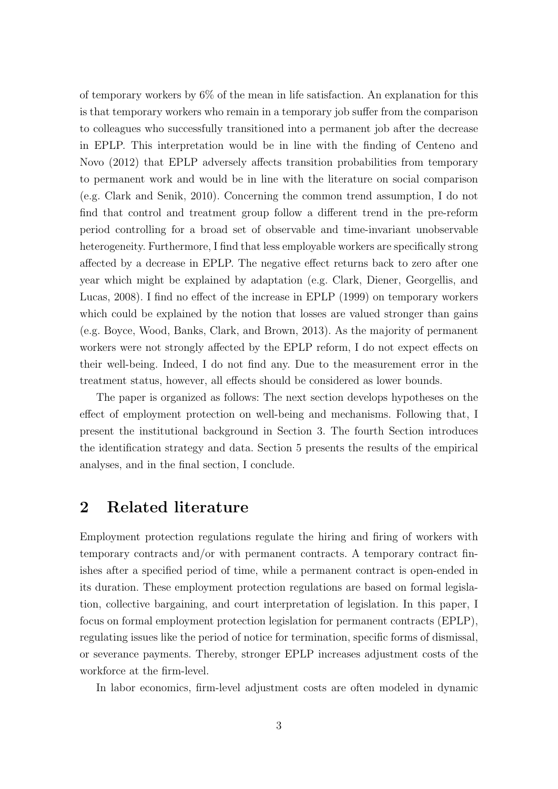of temporary workers by 6% of the mean in life satisfaction. An explanation for this is that temporary workers who remain in a temporary job suffer from the comparison to colleagues who successfully transitioned into a permanent job after the decrease in EPLP. This interpretation would be in line with the finding of Centeno and Novo (2012) that EPLP adversely affects transition probabilities from temporary to permanent work and would be in line with the literature on social comparison (e.g. Clark and Senik, 2010). Concerning the common trend assumption, I do not find that control and treatment group follow a different trend in the pre-reform period controlling for a broad set of observable and time-invariant unobservable heterogeneity. Furthermore, I find that less employable workers are specifically strong affected by a decrease in EPLP. The negative effect returns back to zero after one year which might be explained by adaptation (e.g. Clark, Diener, Georgellis, and Lucas, 2008). I find no effect of the increase in EPLP (1999) on temporary workers which could be explained by the notion that losses are valued stronger than gains (e.g. Boyce, Wood, Banks, Clark, and Brown, 2013). As the majority of permanent workers were not strongly affected by the EPLP reform, I do not expect effects on their well-being. Indeed, I do not find any. Due to the measurement error in the treatment status, however, all effects should be considered as lower bounds.

The paper is organized as follows: The next section develops hypotheses on the effect of employment protection on well-being and mechanisms. Following that, I present the institutional background in Section 3. The fourth Section introduces the identification strategy and data. Section 5 presents the results of the empirical analyses, and in the final section, I conclude.

## 2 Related literature

Employment protection regulations regulate the hiring and firing of workers with temporary contracts and/or with permanent contracts. A temporary contract finishes after a specified period of time, while a permanent contract is open-ended in its duration. These employment protection regulations are based on formal legislation, collective bargaining, and court interpretation of legislation. In this paper, I focus on formal employment protection legislation for permanent contracts (EPLP), regulating issues like the period of notice for termination, specific forms of dismissal, or severance payments. Thereby, stronger EPLP increases adjustment costs of the workforce at the firm-level.

In labor economics, firm-level adjustment costs are often modeled in dynamic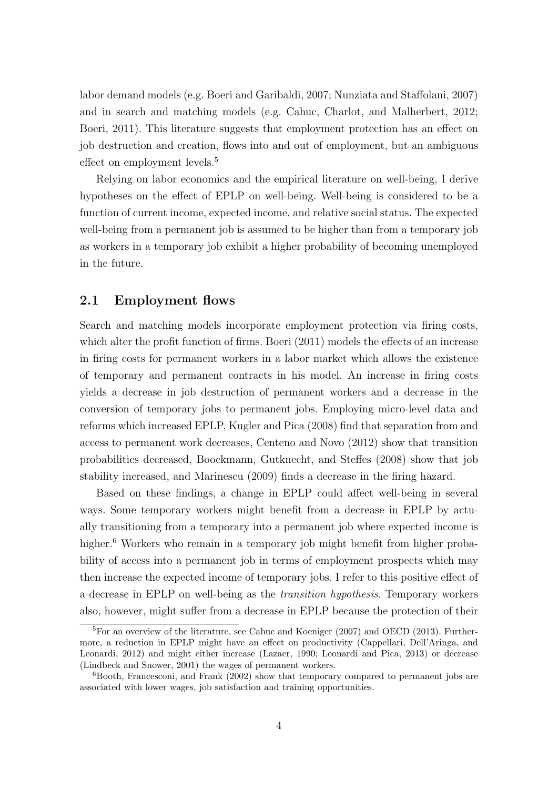labor demand models (e.g. Boeri and Garibaldi, 2007; Nunziata and Staffolani, 2007) and in search and matching models (e.g. Cahuc, Charlot, and Malherbert, 2012; Boeri, 2011). This literature suggests that employment protection has an effect on job destruction and creation, flows into and out of employment, but an ambiguous effect on employment levels.<sup>5</sup>

Relying on labor economics and the empirical literature on well-being, I derive hypotheses on the effect of EPLP on well-being. Well-being is considered to be a function of current income, expected income, and relative social status. The expected well-being from a permanent job is assumed to be higher than from a temporary job as workers in a temporary job exhibit a higher probability of becoming unemployed in the future.

#### 2.1 Employment flows

Search and matching models incorporate employment protection via firing costs, which alter the profit function of firms. Boeri (2011) models the effects of an increase in firing costs for permanent workers in a labor market which allows the existence of temporary and permanent contracts in his model. An increase in firing costs yields a decrease in job destruction of permanent workers and a decrease in the conversion of temporary jobs to permanent jobs. Employing micro-level data and reforms which increased EPLP, Kugler and Pica (2008) find that separation from and access to permanent work decreases, Centeno and Novo (2012) show that transition probabilities decreased, Boockmann, Gutknecht, and Steffes (2008) show that job stability increased, and Marinescu (2009) finds a decrease in the firing hazard.

Based on these findings, a change in EPLP could affect well-being in several ways. Some temporary workers might benefit from a decrease in EPLP by actually transitioning from a temporary into a permanent job where expected income is higher.<sup>6</sup> Workers who remain in a temporary job might benefit from higher probability of access into a permanent job in terms of employment prospects which may then increase the expected income of temporary jobs. I refer to this positive effect of a decrease in EPLP on well-being as the transition hypothesis. Temporary workers also, however, might suffer from a decrease in EPLP because the protection of their

<sup>&</sup>lt;sup>5</sup>For an overview of the literature, see Cahuc and Koeniger (2007) and OECD (2013). Furthermore, a reduction in EPLP might have an effect on productivity (Cappellari, Dell'Aringa, and Leonardi, 2012) and might either increase (Lazaer, 1990; Leonardi and Pica, 2013) or decrease (Lindbeck and Snower, 2001) the wages of permanent workers.

 $6Booth$ , Francesconi, and Frank (2002) show that temporary compared to permanent jobs are associated with lower wages, job satisfaction and training opportunities.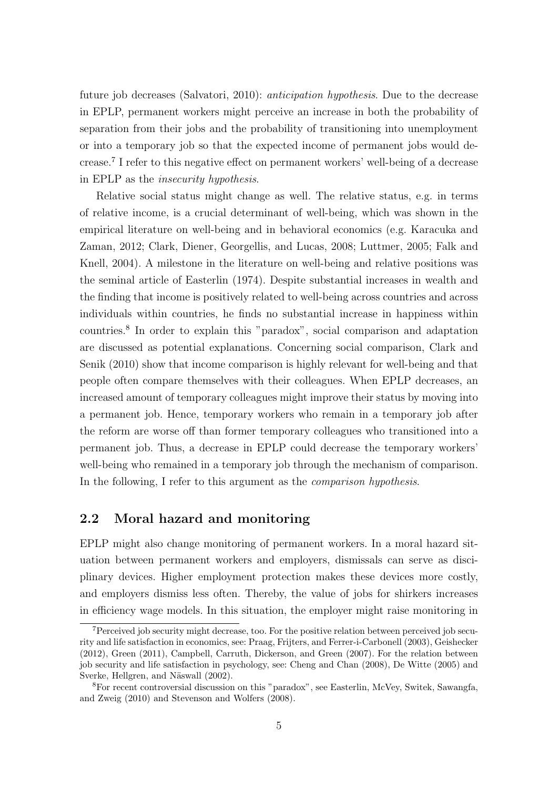future job decreases (Salvatori, 2010): *anticipation hypothesis*. Due to the decrease in EPLP, permanent workers might perceive an increase in both the probability of separation from their jobs and the probability of transitioning into unemployment or into a temporary job so that the expected income of permanent jobs would decrease.<sup>7</sup> I refer to this negative effect on permanent workers' well-being of a decrease in EPLP as the insecurity hypothesis.

Relative social status might change as well. The relative status, e.g. in terms of relative income, is a crucial determinant of well-being, which was shown in the empirical literature on well-being and in behavioral economics (e.g. Karacuka and Zaman, 2012; Clark, Diener, Georgellis, and Lucas, 2008; Luttmer, 2005; Falk and Knell, 2004). A milestone in the literature on well-being and relative positions was the seminal article of Easterlin (1974). Despite substantial increases in wealth and the finding that income is positively related to well-being across countries and across individuals within countries, he finds no substantial increase in happiness within countries.<sup>8</sup> In order to explain this "paradox", social comparison and adaptation are discussed as potential explanations. Concerning social comparison, Clark and Senik (2010) show that income comparison is highly relevant for well-being and that people often compare themselves with their colleagues. When EPLP decreases, an increased amount of temporary colleagues might improve their status by moving into a permanent job. Hence, temporary workers who remain in a temporary job after the reform are worse off than former temporary colleagues who transitioned into a permanent job. Thus, a decrease in EPLP could decrease the temporary workers' well-being who remained in a temporary job through the mechanism of comparison. In the following, I refer to this argument as the *comparison hypothesis*.

#### 2.2 Moral hazard and monitoring

EPLP might also change monitoring of permanent workers. In a moral hazard situation between permanent workers and employers, dismissals can serve as disciplinary devices. Higher employment protection makes these devices more costly, and employers dismiss less often. Thereby, the value of jobs for shirkers increases in efficiency wage models. In this situation, the employer might raise monitoring in

<sup>&</sup>lt;sup>7</sup>Perceived job security might decrease, too. For the positive relation between perceived job security and life satisfaction in economics, see: Praag, Frijters, and Ferrer-i-Carbonell (2003), Geishecker (2012), Green (2011), Campbell, Carruth, Dickerson, and Green (2007). For the relation between job security and life satisfaction in psychology, see: Cheng and Chan (2008), De Witte (2005) and Sverke, Hellgren, and Näswall (2002).

<sup>8</sup>For recent controversial discussion on this "paradox", see Easterlin, McVey, Switek, Sawangfa, and Zweig (2010) and Stevenson and Wolfers (2008).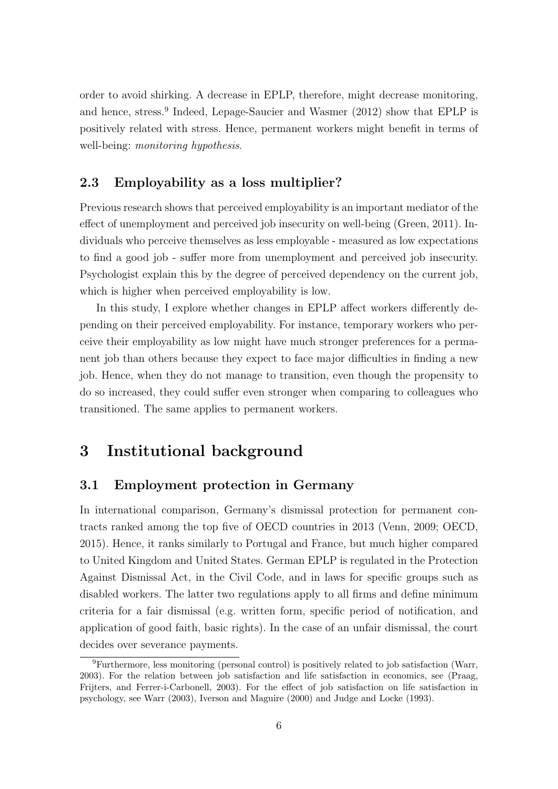order to avoid shirking. A decrease in EPLP, therefore, might decrease monitoring, and hence, stress.<sup>9</sup> Indeed, Lepage-Saucier and Wasmer (2012) show that EPLP is positively related with stress. Hence, permanent workers might benefit in terms of well-being: *monitoring hypothesis*.

#### 2.3 Employability as a loss multiplier?

Previous research shows that perceived employability is an important mediator of the effect of unemployment and perceived job insecurity on well-being (Green, 2011). Individuals who perceive themselves as less employable - measured as low expectations to find a good job - suffer more from unemployment and perceived job insecurity. Psychologist explain this by the degree of perceived dependency on the current job, which is higher when perceived employability is low.

In this study, I explore whether changes in EPLP affect workers differently depending on their perceived employability. For instance, temporary workers who perceive their employability as low might have much stronger preferences for a permanent job than others because they expect to face major difficulties in finding a new job. Hence, when they do not manage to transition, even though the propensity to do so increased, they could suffer even stronger when comparing to colleagues who transitioned. The same applies to permanent workers.

## 3 Institutional background

#### 3.1 Employment protection in Germany

In international comparison, Germany's dismissal protection for permanent contracts ranked among the top five of OECD countries in 2013 (Venn, 2009; OECD, 2015). Hence, it ranks similarly to Portugal and France, but much higher compared to United Kingdom and United States. German EPLP is regulated in the Protection Against Dismissal Act, in the Civil Code, and in laws for specific groups such as disabled workers. The latter two regulations apply to all firms and define minimum criteria for a fair dismissal (e.g. written form, specific period of notification, and application of good faith, basic rights). In the case of an unfair dismissal, the court decides over severance payments.

<sup>9</sup>Furthermore, less monitoring (personal control) is positively related to job satisfaction (Warr, 2003). For the relation between job satisfaction and life satisfaction in economics, see (Praag, Frijters, and Ferrer-i-Carbonell, 2003). For the effect of job satisfaction on life satisfaction in psychology, see Warr (2003), Iverson and Maguire (2000) and Judge and Locke (1993).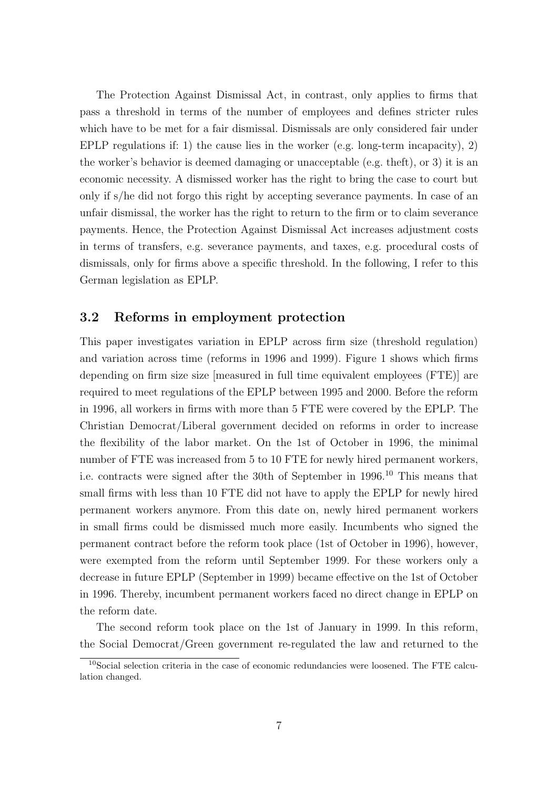The Protection Against Dismissal Act, in contrast, only applies to firms that pass a threshold in terms of the number of employees and defines stricter rules which have to be met for a fair dismissal. Dismissals are only considered fair under EPLP regulations if: 1) the cause lies in the worker (e.g. long-term incapacity), 2) the worker's behavior is deemed damaging or unacceptable (e.g. theft), or 3) it is an economic necessity. A dismissed worker has the right to bring the case to court but only if s/he did not forgo this right by accepting severance payments. In case of an unfair dismissal, the worker has the right to return to the firm or to claim severance payments. Hence, the Protection Against Dismissal Act increases adjustment costs in terms of transfers, e.g. severance payments, and taxes, e.g. procedural costs of dismissals, only for firms above a specific threshold. In the following, I refer to this German legislation as EPLP.

#### 3.2 Reforms in employment protection

This paper investigates variation in EPLP across firm size (threshold regulation) and variation across time (reforms in 1996 and 1999). Figure 1 shows which firms depending on firm size size [measured in full time equivalent employees (FTE)] are required to meet regulations of the EPLP between 1995 and 2000. Before the reform in 1996, all workers in firms with more than 5 FTE were covered by the EPLP. The Christian Democrat/Liberal government decided on reforms in order to increase the flexibility of the labor market. On the 1st of October in 1996, the minimal number of FTE was increased from 5 to 10 FTE for newly hired permanent workers, i.e. contracts were signed after the 30th of September in 1996.<sup>10</sup> This means that small firms with less than 10 FTE did not have to apply the EPLP for newly hired permanent workers anymore. From this date on, newly hired permanent workers in small firms could be dismissed much more easily. Incumbents who signed the permanent contract before the reform took place (1st of October in 1996), however, were exempted from the reform until September 1999. For these workers only a decrease in future EPLP (September in 1999) became effective on the 1st of October in 1996. Thereby, incumbent permanent workers faced no direct change in EPLP on the reform date.

The second reform took place on the 1st of January in 1999. In this reform, the Social Democrat/Green government re-regulated the law and returned to the

 $10$ Social selection criteria in the case of economic redundancies were loosened. The FTE calculation changed.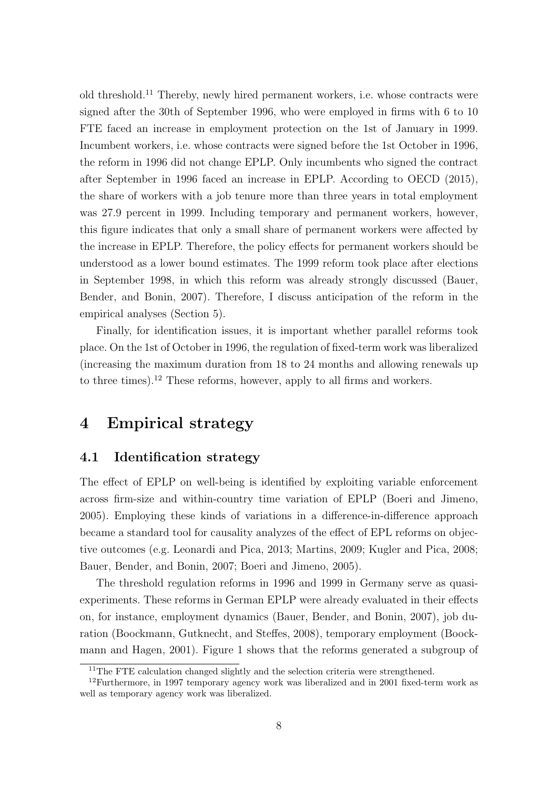old threshold.<sup>11</sup> Thereby, newly hired permanent workers, i.e. whose contracts were signed after the 30th of September 1996, who were employed in firms with 6 to 10 FTE faced an increase in employment protection on the 1st of January in 1999. Incumbent workers, i.e. whose contracts were signed before the 1st October in 1996, the reform in 1996 did not change EPLP. Only incumbents who signed the contract after September in 1996 faced an increase in EPLP. According to OECD (2015), the share of workers with a job tenure more than three years in total employment was 27.9 percent in 1999. Including temporary and permanent workers, however, this figure indicates that only a small share of permanent workers were affected by the increase in EPLP. Therefore, the policy effects for permanent workers should be understood as a lower bound estimates. The 1999 reform took place after elections in September 1998, in which this reform was already strongly discussed (Bauer, Bender, and Bonin, 2007). Therefore, I discuss anticipation of the reform in the empirical analyses (Section 5).

Finally, for identification issues, it is important whether parallel reforms took place. On the 1st of October in 1996, the regulation of fixed-term work was liberalized (increasing the maximum duration from 18 to 24 months and allowing renewals up to three times).<sup>12</sup> These reforms, however, apply to all firms and workers.

### 4 Empirical strategy

#### 4.1 Identification strategy

The effect of EPLP on well-being is identified by exploiting variable enforcement across firm-size and within-country time variation of EPLP (Boeri and Jimeno, 2005). Employing these kinds of variations in a difference-in-difference approach became a standard tool for causality analyzes of the effect of EPL reforms on objective outcomes (e.g. Leonardi and Pica, 2013; Martins, 2009; Kugler and Pica, 2008; Bauer, Bender, and Bonin, 2007; Boeri and Jimeno, 2005).

The threshold regulation reforms in 1996 and 1999 in Germany serve as quasiexperiments. These reforms in German EPLP were already evaluated in their effects on, for instance, employment dynamics (Bauer, Bender, and Bonin, 2007), job duration (Boockmann, Gutknecht, and Steffes, 2008), temporary employment (Boockmann and Hagen, 2001). Figure 1 shows that the reforms generated a subgroup of

<sup>&</sup>lt;sup>11</sup>The FTE calculation changed slightly and the selection criteria were strengthened.

<sup>12</sup>Furthermore, in 1997 temporary agency work was liberalized and in 2001 fixed-term work as well as temporary agency work was liberalized.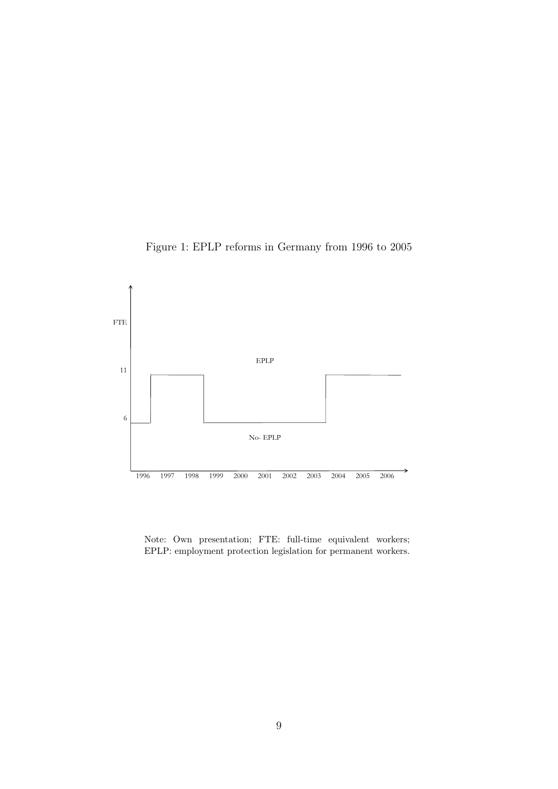



Note: Own presentation; FTE: full-time equivalent workers; EPLP: employment protection legislation for permanent workers.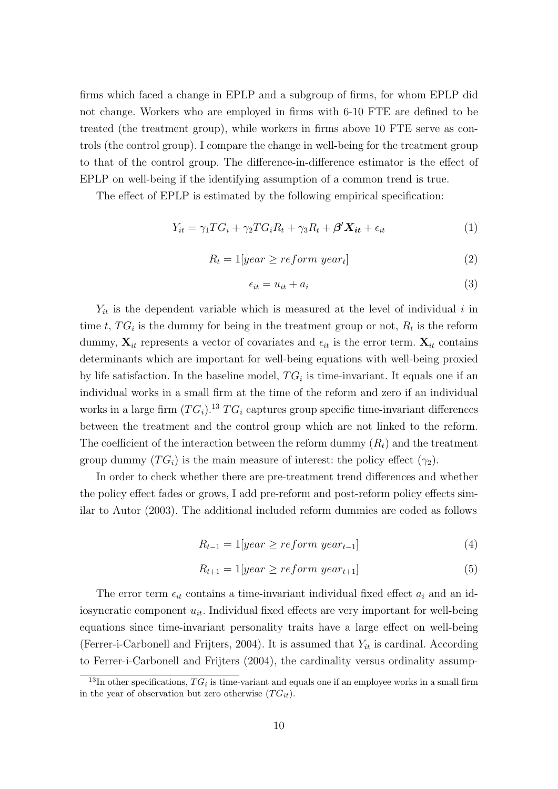firms which faced a change in EPLP and a subgroup of firms, for whom EPLP did not change. Workers who are employed in firms with 6-10 FTE are defined to be treated (the treatment group), while workers in firms above 10 FTE serve as controls (the control group). I compare the change in well-being for the treatment group to that of the control group. The difference-in-difference estimator is the effect of EPLP on well-being if the identifying assumption of a common trend is true.

The effect of EPLP is estimated by the following empirical specification:

$$
Y_{it} = \gamma_1 T G_i + \gamma_2 T G_i R_t + \gamma_3 R_t + \beta' \mathbf{X}_{it} + \epsilon_{it}
$$
\n(1)

$$
R_t = 1[year \ge reform \ year_t]
$$
 (2)

$$
\epsilon_{it} = u_{it} + a_i \tag{3}
$$

 $Y_{it}$  is the dependent variable which is measured at the level of individual i in time t,  $TG_i$  is the dummy for being in the treatment group or not,  $R_t$  is the reform dummy,  $\mathbf{X}_{it}$  represents a vector of covariates and  $\epsilon_{it}$  is the error term.  $\mathbf{X}_{it}$  contains determinants which are important for well-being equations with well-being proxied by life satisfaction. In the baseline model,  $TG_i$  is time-invariant. It equals one if an individual works in a small firm at the time of the reform and zero if an individual works in a large firm  $(TG_i)^{13} T G_i$  captures group specific time-invariant differences between the treatment and the control group which are not linked to the reform. The coefficient of the interaction between the reform dummy  $(R_t)$  and the treatment group dummy  $(TG_i)$  is the main measure of interest: the policy effect  $(\gamma_2)$ .

In order to check whether there are pre-treatment trend differences and whether the policy effect fades or grows, I add pre-reform and post-reform policy effects similar to Autor (2003). The additional included reform dummies are coded as follows

$$
R_{t-1} = 1[year \ge reform \, year_{t-1}] \tag{4}
$$

$$
R_{t+1} = 1[year \ge reform \, year_{t+1}] \tag{5}
$$

The error term  $\epsilon_{it}$  contains a time-invariant individual fixed effect  $a_i$  and an idiosyncratic component  $u_{it}$ . Individual fixed effects are very important for well-being equations since time-invariant personality traits have a large effect on well-being (Ferrer-i-Carbonell and Frijters, 2004). It is assumed that  $Y_{it}$  is cardinal. According to Ferrer-i-Carbonell and Frijters (2004), the cardinality versus ordinality assump-

<sup>&</sup>lt;sup>13</sup>In other specifications,  $TG_i$  is time-variant and equals one if an employee works in a small firm in the year of observation but zero otherwise  $(T G_{it})$ .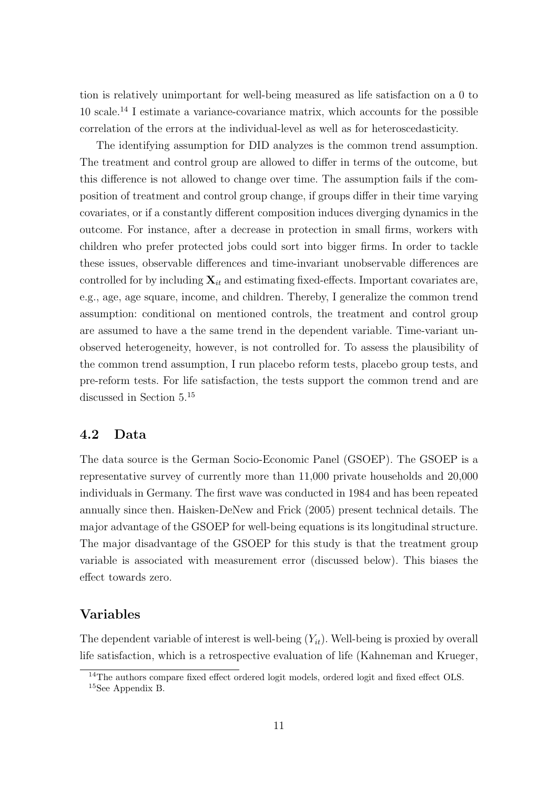tion is relatively unimportant for well-being measured as life satisfaction on a 0 to 10 scale.<sup>14</sup> I estimate a variance-covariance matrix, which accounts for the possible correlation of the errors at the individual-level as well as for heteroscedasticity.

The identifying assumption for DID analyzes is the common trend assumption. The treatment and control group are allowed to differ in terms of the outcome, but this difference is not allowed to change over time. The assumption fails if the composition of treatment and control group change, if groups differ in their time varying covariates, or if a constantly different composition induces diverging dynamics in the outcome. For instance, after a decrease in protection in small firms, workers with children who prefer protected jobs could sort into bigger firms. In order to tackle these issues, observable differences and time-invariant unobservable differences are controlled for by including  $\mathbf{X}_{it}$  and estimating fixed-effects. Important covariates are, e.g., age, age square, income, and children. Thereby, I generalize the common trend assumption: conditional on mentioned controls, the treatment and control group are assumed to have a the same trend in the dependent variable. Time-variant unobserved heterogeneity, however, is not controlled for. To assess the plausibility of the common trend assumption, I run placebo reform tests, placebo group tests, and pre-reform tests. For life satisfaction, the tests support the common trend and are discussed in Section 5.<sup>15</sup>

#### 4.2 Data

The data source is the German Socio-Economic Panel (GSOEP). The GSOEP is a representative survey of currently more than 11,000 private households and 20,000 individuals in Germany. The first wave was conducted in 1984 and has been repeated annually since then. Haisken-DeNew and Frick (2005) present technical details. The major advantage of the GSOEP for well-being equations is its longitudinal structure. The major disadvantage of the GSOEP for this study is that the treatment group variable is associated with measurement error (discussed below). This biases the effect towards zero.

#### Variables

The dependent variable of interest is well-being  $(Y_{it})$ . Well-being is proxied by overall life satisfaction, which is a retrospective evaluation of life (Kahneman and Krueger,

<sup>&</sup>lt;sup>14</sup>The authors compare fixed effect ordered logit models, ordered logit and fixed effect OLS. <sup>15</sup>See Appendix B.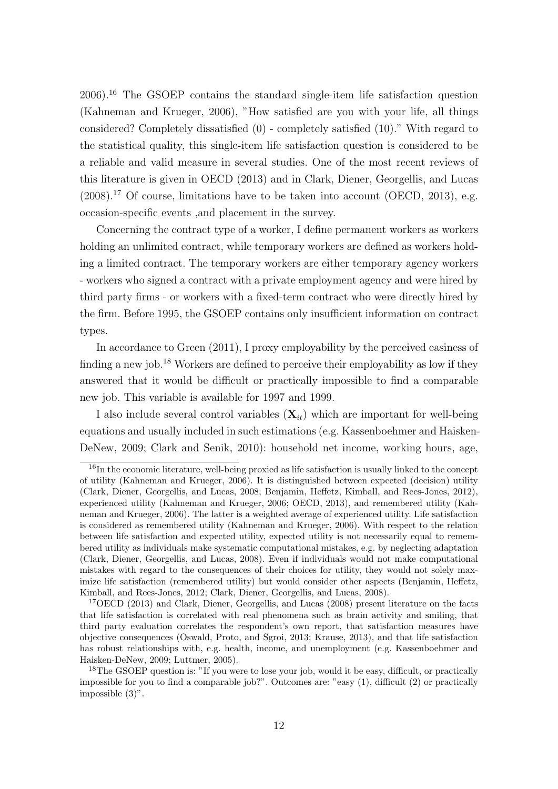2006).<sup>16</sup> The GSOEP contains the standard single-item life satisfaction question (Kahneman and Krueger, 2006), "How satisfied are you with your life, all things considered? Completely dissatisfied (0) - completely satisfied (10)." With regard to the statistical quality, this single-item life satisfaction question is considered to be a reliable and valid measure in several studies. One of the most recent reviews of this literature is given in OECD (2013) and in Clark, Diener, Georgellis, and Lucas  $(2008).$ <sup>17</sup> Of course, limitations have to be taken into account (OECD, 2013), e.g. occasion-specific events ,and placement in the survey.

Concerning the contract type of a worker, I define permanent workers as workers holding an unlimited contract, while temporary workers are defined as workers holding a limited contract. The temporary workers are either temporary agency workers - workers who signed a contract with a private employment agency and were hired by third party firms - or workers with a fixed-term contract who were directly hired by the firm. Before 1995, the GSOEP contains only insufficient information on contract types.

In accordance to Green (2011), I proxy employability by the perceived easiness of finding a new job.<sup>18</sup> Workers are defined to perceive their employability as low if they answered that it would be difficult or practically impossible to find a comparable new job. This variable is available for 1997 and 1999.

I also include several control variables  $(X_{it})$  which are important for well-being equations and usually included in such estimations (e.g. Kassenboehmer and Haisken-DeNew, 2009; Clark and Senik, 2010): household net income, working hours, age,

 $16$ In the economic literature, well-being proxied as life satisfaction is usually linked to the concept of utility (Kahneman and Krueger, 2006). It is distinguished between expected (decision) utility (Clark, Diener, Georgellis, and Lucas, 2008; Benjamin, Heffetz, Kimball, and Rees-Jones, 2012), experienced utility (Kahneman and Krueger, 2006; OECD, 2013), and remembered utility (Kahneman and Krueger, 2006). The latter is a weighted average of experienced utility. Life satisfaction is considered as remembered utility (Kahneman and Krueger, 2006). With respect to the relation between life satisfaction and expected utility, expected utility is not necessarily equal to remembered utility as individuals make systematic computational mistakes, e.g. by neglecting adaptation (Clark, Diener, Georgellis, and Lucas, 2008). Even if individuals would not make computational mistakes with regard to the consequences of their choices for utility, they would not solely maximize life satisfaction (remembered utility) but would consider other aspects (Benjamin, Heffetz, Kimball, and Rees-Jones, 2012; Clark, Diener, Georgellis, and Lucas, 2008).

<sup>&</sup>lt;sup>17</sup>OECD (2013) and Clark, Diener, Georgellis, and Lucas (2008) present literature on the facts that life satisfaction is correlated with real phenomena such as brain activity and smiling, that third party evaluation correlates the respondent's own report, that satisfaction measures have objective consequences (Oswald, Proto, and Sgroi, 2013; Krause, 2013), and that life satisfaction has robust relationships with, e.g. health, income, and unemployment (e.g. Kassenboehmer and Haisken-DeNew, 2009; Luttmer, 2005).

<sup>&</sup>lt;sup>18</sup>The GSOEP question is: "If you were to lose your job, would it be easy, difficult, or practically impossible for you to find a comparable job?". Outcomes are: "easy (1), difficult (2) or practically impossible (3)".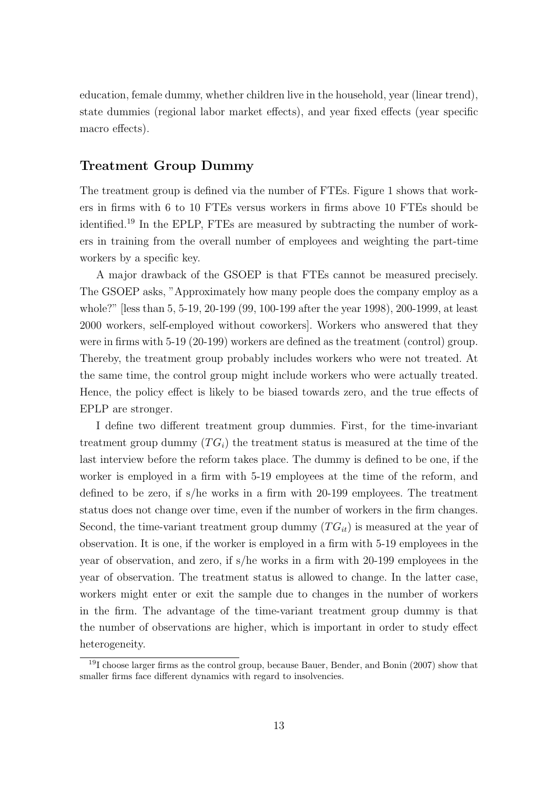education, female dummy, whether children live in the household, year (linear trend), state dummies (regional labor market effects), and year fixed effects (year specific macro effects).

#### Treatment Group Dummy

The treatment group is defined via the number of FTEs. Figure 1 shows that workers in firms with 6 to 10 FTEs versus workers in firms above 10 FTEs should be identified.<sup>19</sup> In the EPLP, FTEs are measured by subtracting the number of workers in training from the overall number of employees and weighting the part-time workers by a specific key.

A major drawback of the GSOEP is that FTEs cannot be measured precisely. The GSOEP asks, "Approximately how many people does the company employ as a whole?" [less than 5, 5-19, 20-199 (99, 100-199 after the year 1998), 200-1999, at least 2000 workers, self-employed without coworkers]. Workers who answered that they were in firms with 5-19 (20-199) workers are defined as the treatment (control) group. Thereby, the treatment group probably includes workers who were not treated. At the same time, the control group might include workers who were actually treated. Hence, the policy effect is likely to be biased towards zero, and the true effects of EPLP are stronger.

I define two different treatment group dummies. First, for the time-invariant treatment group dummy  $(T G_i)$  the treatment status is measured at the time of the last interview before the reform takes place. The dummy is defined to be one, if the worker is employed in a firm with 5-19 employees at the time of the reform, and defined to be zero, if s/he works in a firm with 20-199 employees. The treatment status does not change over time, even if the number of workers in the firm changes. Second, the time-variant treatment group dummy  $(T G_{it})$  is measured at the year of observation. It is one, if the worker is employed in a firm with 5-19 employees in the year of observation, and zero, if s/he works in a firm with 20-199 employees in the year of observation. The treatment status is allowed to change. In the latter case, workers might enter or exit the sample due to changes in the number of workers in the firm. The advantage of the time-variant treatment group dummy is that the number of observations are higher, which is important in order to study effect heterogeneity.

 $19I$  choose larger firms as the control group, because Bauer, Bender, and Bonin (2007) show that smaller firms face different dynamics with regard to insolvencies.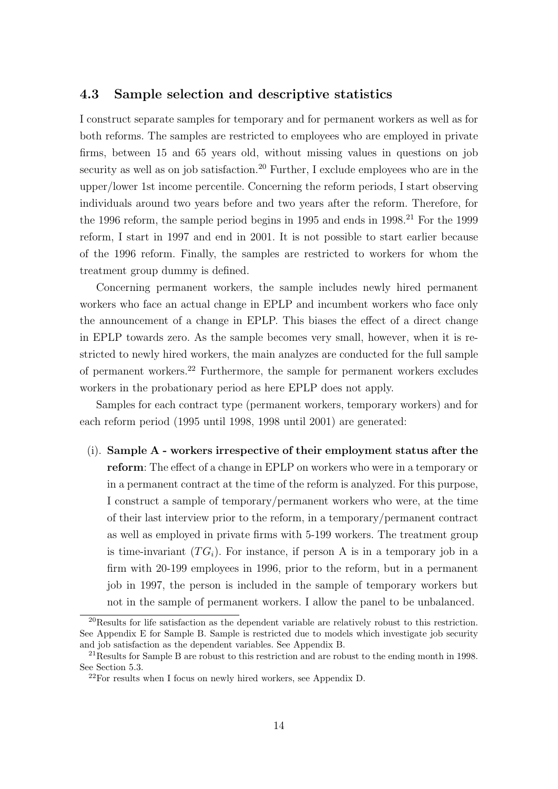#### 4.3 Sample selection and descriptive statistics

I construct separate samples for temporary and for permanent workers as well as for both reforms. The samples are restricted to employees who are employed in private firms, between 15 and 65 years old, without missing values in questions on job security as well as on job satisfaction.<sup>20</sup> Further, I exclude employees who are in the upper/lower 1st income percentile. Concerning the reform periods, I start observing individuals around two years before and two years after the reform. Therefore, for the 1996 reform, the sample period begins in 1995 and ends in  $1998<sup>21</sup>$  For the 1999 reform, I start in 1997 and end in 2001. It is not possible to start earlier because of the 1996 reform. Finally, the samples are restricted to workers for whom the treatment group dummy is defined.

Concerning permanent workers, the sample includes newly hired permanent workers who face an actual change in EPLP and incumbent workers who face only the announcement of a change in EPLP. This biases the effect of a direct change in EPLP towards zero. As the sample becomes very small, however, when it is restricted to newly hired workers, the main analyzes are conducted for the full sample of permanent workers.<sup>22</sup> Furthermore, the sample for permanent workers excludes workers in the probationary period as here EPLP does not apply.

Samples for each contract type (permanent workers, temporary workers) and for each reform period (1995 until 1998, 1998 until 2001) are generated:

(i). Sample A - workers irrespective of their employment status after the reform: The effect of a change in EPLP on workers who were in a temporary or in a permanent contract at the time of the reform is analyzed. For this purpose, I construct a sample of temporary/permanent workers who were, at the time of their last interview prior to the reform, in a temporary/permanent contract as well as employed in private firms with 5-199 workers. The treatment group is time-invariant  $(TG_i)$ . For instance, if person A is in a temporary job in a firm with 20-199 employees in 1996, prior to the reform, but in a permanent job in 1997, the person is included in the sample of temporary workers but not in the sample of permanent workers. I allow the panel to be unbalanced.

 $^{20}$ Results for life satisfaction as the dependent variable are relatively robust to this restriction. See Appendix E for Sample B. Sample is restricted due to models which investigate job security and job satisfaction as the dependent variables. See Appendix B.

<sup>&</sup>lt;sup>21</sup>Results for Sample B are robust to this restriction and are robust to the ending month in 1998. See Section 5.3.

<sup>22</sup>For results when I focus on newly hired workers, see Appendix D.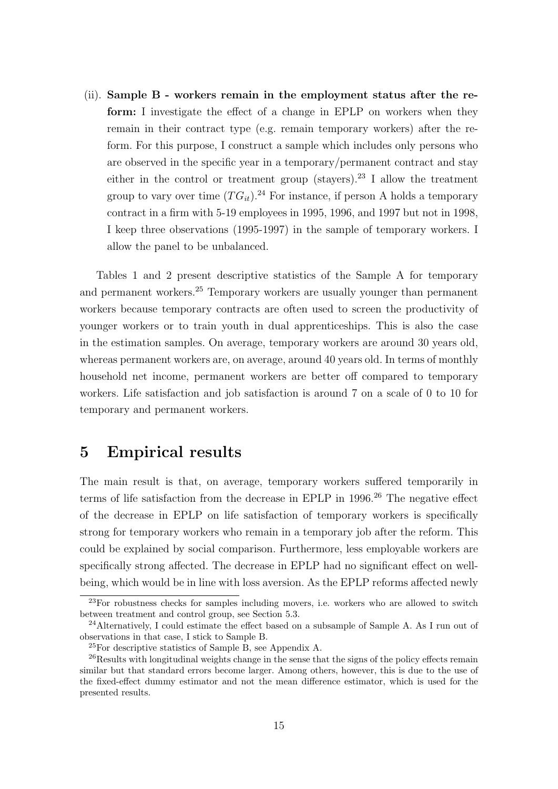(ii). Sample B - workers remain in the employment status after the reform: I investigate the effect of a change in EPLP on workers when they remain in their contract type (e.g. remain temporary workers) after the reform. For this purpose, I construct a sample which includes only persons who are observed in the specific year in a temporary/permanent contract and stay either in the control or treatment group (stayers).<sup>23</sup> I allow the treatment group to vary over time  $(T G_{it})^{24}$  For instance, if person A holds a temporary contract in a firm with 5-19 employees in 1995, 1996, and 1997 but not in 1998, I keep three observations (1995-1997) in the sample of temporary workers. I allow the panel to be unbalanced.

Tables 1 and 2 present descriptive statistics of the Sample A for temporary and permanent workers.<sup>25</sup> Temporary workers are usually younger than permanent workers because temporary contracts are often used to screen the productivity of younger workers or to train youth in dual apprenticeships. This is also the case in the estimation samples. On average, temporary workers are around 30 years old, whereas permanent workers are, on average, around 40 years old. In terms of monthly household net income, permanent workers are better off compared to temporary workers. Life satisfaction and job satisfaction is around 7 on a scale of 0 to 10 for temporary and permanent workers.

### 5 Empirical results

The main result is that, on average, temporary workers suffered temporarily in terms of life satisfaction from the decrease in EPLP in 1996.<sup>26</sup> The negative effect of the decrease in EPLP on life satisfaction of temporary workers is specifically strong for temporary workers who remain in a temporary job after the reform. This could be explained by social comparison. Furthermore, less employable workers are specifically strong affected. The decrease in EPLP had no significant effect on wellbeing, which would be in line with loss aversion. As the EPLP reforms affected newly

 $^{23}$ For robustness checks for samples including movers, i.e. workers who are allowed to switch between treatment and control group, see Section 5.3.

<sup>&</sup>lt;sup>24</sup>Alternatively, I could estimate the effect based on a subsample of Sample A. As I run out of observations in that case, I stick to Sample B.

<sup>25</sup>For descriptive statistics of Sample B, see Appendix A.

<sup>&</sup>lt;sup>26</sup>Results with longitudinal weights change in the sense that the signs of the policy effects remain similar but that standard errors become larger. Among others, however, this is due to the use of the fixed-effect dummy estimator and not the mean difference estimator, which is used for the presented results.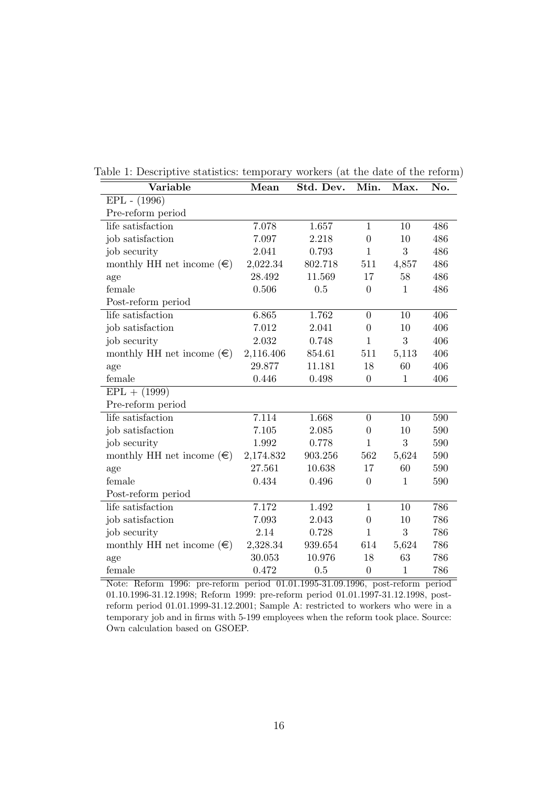| Variable                           | Mean      | Std. Dev. | Min.             | Max.         | No. |
|------------------------------------|-----------|-----------|------------------|--------------|-----|
| $EPL - (1996)$                     |           |           |                  |              |     |
| Pre-reform period                  |           |           |                  |              |     |
| life satisfaction                  | 7.078     | 1.657     | $\mathbf{1}$     | 10           | 486 |
| job satisfaction                   | 7.097     | 2.218     | $\boldsymbol{0}$ | 10           | 486 |
| job security                       | 2.041     | 0.793     | $\mathbf{1}$     | 3            | 486 |
| monthly HH net income $(\epsilon)$ | 2,022.34  | 802.718   | 511              | 4,857        | 486 |
| age                                | 28.492    | 11.569    | 17               | 58           | 486 |
| female                             | 0.506     | 0.5       | $\boldsymbol{0}$ | $\mathbf{1}$ | 486 |
| Post-reform period                 |           |           |                  |              |     |
| life satisfaction                  | 6.865     | 1.762     | $\overline{0}$   | 10           | 406 |
| job satisfaction                   | 7.012     | 2.041     | $\boldsymbol{0}$ | 10           | 406 |
| job security                       | 2.032     | 0.748     | $\mathbf{1}$     | 3            | 406 |
| monthly HH net income $(\epsilon)$ | 2,116.406 | 854.61    | 511              | 5,113        | 406 |
| age                                | 29.877    | 11.181    | 18               | 60           | 406 |
| female                             | 0.446     | 0.498     | $\boldsymbol{0}$ | $\mathbf{1}$ | 406 |
| $EPL + (1999)$                     |           |           |                  |              |     |
| Pre-reform period                  |           |           |                  |              |     |
| life satisfaction                  | 7.114     | 1.668     | $\boldsymbol{0}$ | 10           | 590 |
| job satisfaction                   | 7.105     | 2.085     | $\overline{0}$   | 10           | 590 |
| job security                       | 1.992     | 0.778     | $\mathbf{1}$     | 3            | 590 |
| monthly HH net income $(\epsilon)$ | 2,174.832 | 903.256   | 562              | 5,624        | 590 |
| age                                | 27.561    | 10.638    | 17               | 60           | 590 |
| female                             | 0.434     | 0.496     | $\overline{0}$   | $\mathbf{1}$ | 590 |
| Post-reform period                 |           |           |                  |              |     |
| life satisfaction                  | 7.172     | 1.492     | $\mathbf{1}$     | 10           | 786 |
| job satisfaction                   | 7.093     | 2.043     | $\boldsymbol{0}$ | 10           | 786 |
| job security                       | 2.14      | 0.728     | $\mathbf{1}$     | 3            | 786 |
| monthly HH net income $(\epsilon)$ | 2,328.34  | 939.654   | 614              | 5,624        | 786 |
| age                                | 30.053    | 10.976    | 18               | 63           | 786 |
| female                             | 0.472     | 0.5       | $\boldsymbol{0}$ | $\mathbf{1}$ | 786 |

Table 1: Descriptive statistics: temporary workers (at the date of the reform)

Note: Reform 1996: pre-reform period 01.01.1995-31.09.1996, post-reform period 01.10.1996-31.12.1998; Reform 1999: pre-reform period 01.01.1997-31.12.1998, postreform period 01.01.1999-31.12.2001; Sample A: restricted to workers who were in a temporary job and in firms with 5-199 employees when the reform took place. Source: Own calculation based on GSOEP.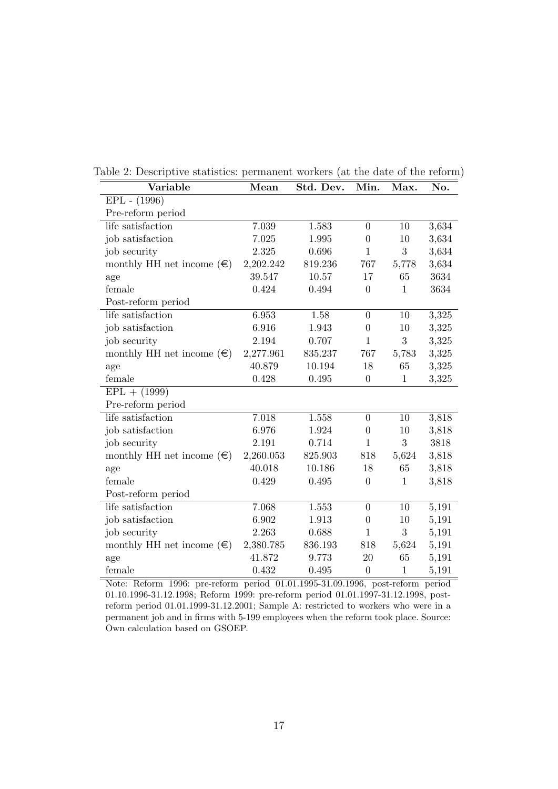| Variable                           | Mean      | Std. Dev. | Min.             | Max.         | No.   |
|------------------------------------|-----------|-----------|------------------|--------------|-------|
| EPL - (1996)                       |           |           |                  |              |       |
| Pre-reform period                  |           |           |                  |              |       |
| life satisfaction                  | 7.039     | 1.583     | $\boldsymbol{0}$ | 10           | 3,634 |
| job satisfaction                   | 7.025     | 1.995     | $\theta$         | 10           | 3,634 |
| job security                       | 2.325     | 0.696     | $\mathbf{1}$     | 3            | 3,634 |
| monthly HH net income $(\in)$      | 2,202.242 | 819.236   | 767              | 5,778        | 3,634 |
| age                                | 39.547    | 10.57     | 17               | 65           | 3634  |
| female                             | 0.424     | 0.494     | $\theta$         | $\mathbf{1}$ | 3634  |
| Post-reform period                 |           |           |                  |              |       |
| life satisfaction                  | 6.953     | 1.58      | $\boldsymbol{0}$ | 10           | 3,325 |
| job satisfaction                   | 6.916     | 1.943     | $\theta$         | 10           | 3,325 |
| job security                       | 2.194     | 0.707     | $\mathbf{1}$     | 3            | 3,325 |
| monthly HH net income $(\epsilon)$ | 2,277.961 | 835.237   | 767              | 5,783        | 3,325 |
| age                                | 40.879    | 10.194    | 18               | 65           | 3,325 |
| female                             | 0.428     | 0.495     | $\boldsymbol{0}$ | $\mathbf{1}$ | 3,325 |
| $EPL + (1999)$                     |           |           |                  |              |       |
| Pre-reform period                  |           |           |                  |              |       |
| life satisfaction                  | 7.018     | 1.558     | $\theta$         | 10           | 3,818 |
| job satisfaction                   | 6.976     | 1.924     | $\boldsymbol{0}$ | 10           | 3,818 |
| job security                       | 2.191     | 0.714     | 1                | 3            | 3818  |
| monthly HH net income $(\epsilon)$ | 2,260.053 | 825.903   | 818              | 5,624        | 3,818 |
| age                                | 40.018    | 10.186    | 18               | 65           | 3,818 |
| female                             | 0.429     | 0.495     | $\overline{0}$   | $1\,$        | 3,818 |
| Post-reform period                 |           |           |                  |              |       |
| life satisfaction                  | 7.068     | 1.553     | $\boldsymbol{0}$ | 10           | 5,191 |
| job satisfaction                   | 6.902     | 1.913     | $\boldsymbol{0}$ | 10           | 5,191 |
| job security                       | 2.263     | 0.688     | $\mathbf{1}$     | 3            | 5,191 |
| monthly HH net income $(\epsilon)$ | 2,380.785 | 836.193   | 818              | 5,624        | 5,191 |
| age                                | 41.872    | 9.773     | 20               | 65           | 5,191 |
| female                             | 0.432     | 0.495     | $\theta$         | $\mathbf{1}$ | 5,191 |

Table 2: Descriptive statistics: permanent workers (at the date of the reform)

Note: Reform 1996: pre-reform period 01.01.1995-31.09.1996, post-reform period 01.10.1996-31.12.1998; Reform 1999: pre-reform period 01.01.1997-31.12.1998, postreform period 01.01.1999-31.12.2001; Sample A: restricted to workers who were in a permanent job and in firms with 5-199 employees when the reform took place. Source: Own calculation based on GSOEP.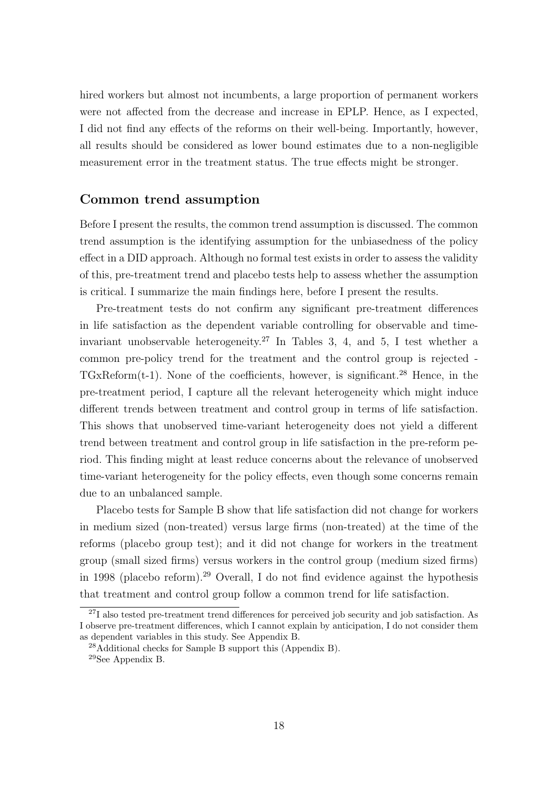hired workers but almost not incumbents, a large proportion of permanent workers were not affected from the decrease and increase in EPLP. Hence, as I expected, I did not find any effects of the reforms on their well-being. Importantly, however, all results should be considered as lower bound estimates due to a non-negligible measurement error in the treatment status. The true effects might be stronger.

#### Common trend assumption

Before I present the results, the common trend assumption is discussed. The common trend assumption is the identifying assumption for the unbiasedness of the policy effect in a DID approach. Although no formal test exists in order to assess the validity of this, pre-treatment trend and placebo tests help to assess whether the assumption is critical. I summarize the main findings here, before I present the results.

Pre-treatment tests do not confirm any significant pre-treatment differences in life satisfaction as the dependent variable controlling for observable and timeinvariant unobservable heterogeneity.<sup>27</sup> In Tables 3, 4, and 5, I test whether a common pre-policy trend for the treatment and the control group is rejected -  $TGxReform(t-1)$ . None of the coefficients, however, is significant.<sup>28</sup> Hence, in the pre-treatment period, I capture all the relevant heterogeneity which might induce different trends between treatment and control group in terms of life satisfaction. This shows that unobserved time-variant heterogeneity does not yield a different trend between treatment and control group in life satisfaction in the pre-reform period. This finding might at least reduce concerns about the relevance of unobserved time-variant heterogeneity for the policy effects, even though some concerns remain due to an unbalanced sample.

Placebo tests for Sample B show that life satisfaction did not change for workers in medium sized (non-treated) versus large firms (non-treated) at the time of the reforms (placebo group test); and it did not change for workers in the treatment group (small sized firms) versus workers in the control group (medium sized firms) in 1998 (placebo reform).<sup>29</sup> Overall, I do not find evidence against the hypothesis that treatment and control group follow a common trend for life satisfaction.

<sup>&</sup>lt;sup>27</sup>I also tested pre-treatment trend differences for perceived job security and job satisfaction. As I observe pre-treatment differences, which I cannot explain by anticipation, I do not consider them as dependent variables in this study. See Appendix B.

<sup>28</sup>Additional checks for Sample B support this (Appendix B).

<sup>29</sup>See Appendix B.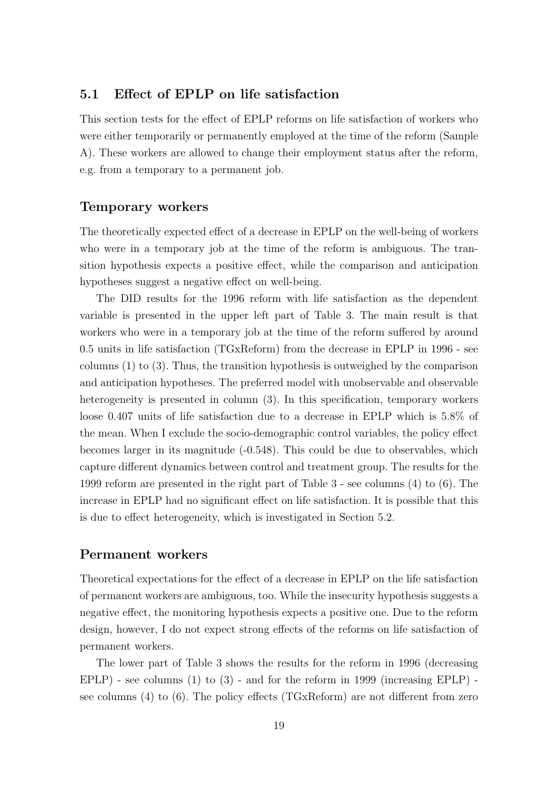### 5.1 Effect of EPLP on life satisfaction

This section tests for the effect of EPLP reforms on life satisfaction of workers who were either temporarily or permanently employed at the time of the reform (Sample A). These workers are allowed to change their employment status after the reform, e.g. from a temporary to a permanent job.

#### Temporary workers

The theoretically expected effect of a decrease in EPLP on the well-being of workers who were in a temporary job at the time of the reform is ambiguous. The transition hypothesis expects a positive effect, while the comparison and anticipation hypotheses suggest a negative effect on well-being.

The DID results for the 1996 reform with life satisfaction as the dependent variable is presented in the upper left part of Table 3. The main result is that workers who were in a temporary job at the time of the reform suffered by around 0.5 units in life satisfaction (TGxReform) from the decrease in EPLP in 1996 - see columns (1) to (3). Thus, the transition hypothesis is outweighed by the comparison and anticipation hypotheses. The preferred model with unobservable and observable heterogeneity is presented in column (3). In this specification, temporary workers loose 0.407 units of life satisfaction due to a decrease in EPLP which is 5.8% of the mean. When I exclude the socio-demographic control variables, the policy effect becomes larger in its magnitude (-0.548). This could be due to observables, which capture different dynamics between control and treatment group. The results for the 1999 reform are presented in the right part of Table 3 - see columns (4) to (6). The increase in EPLP had no significant effect on life satisfaction. It is possible that this is due to effect heterogeneity, which is investigated in Section 5.2.

#### Permanent workers

Theoretical expectations for the effect of a decrease in EPLP on the life satisfaction of permanent workers are ambiguous, too. While the insecurity hypothesis suggests a negative effect, the monitoring hypothesis expects a positive one. Due to the reform design, however, I do not expect strong effects of the reforms on life satisfaction of permanent workers.

The lower part of Table 3 shows the results for the reform in 1996 (decreasing  $EPLP$ ) - see columns (1) to (3) - and for the reform in 1999 (increasing  $EPLP$ ) see columns (4) to (6). The policy effects (TGxReform) are not different from zero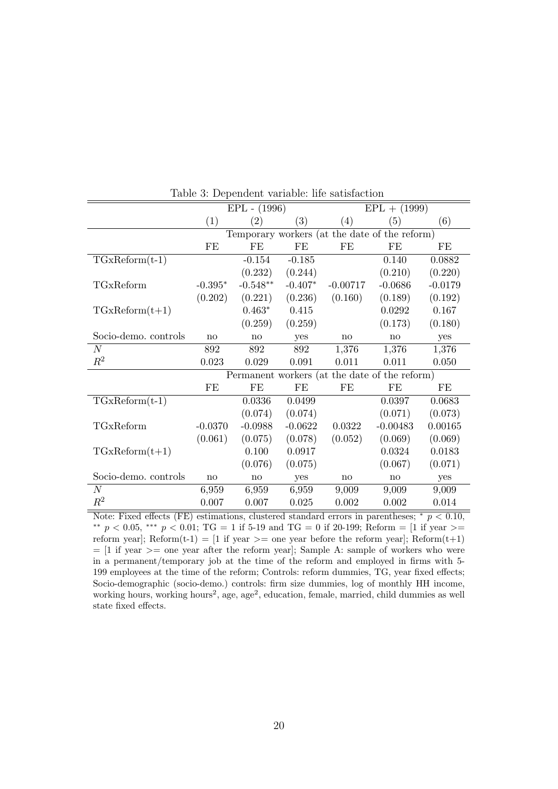|                      |           | $EPL - (1996)$ |                   | $EPL + (1999)$ |                                               |           |  |
|----------------------|-----------|----------------|-------------------|----------------|-----------------------------------------------|-----------|--|
|                      | (1)       | (2)            | $\left( 3\right)$ | (4)            | (5)                                           | (6)       |  |
|                      |           |                |                   |                | Temporary workers (at the date of the reform) |           |  |
|                      | FE        | FE             | FE                | FE             | FE                                            | FE        |  |
| $TGxReform(t-1)$     |           | $-0.154$       | $-0.185$          |                | 0.140                                         | 0.0882    |  |
|                      |           | (0.232)        | (0.244)           |                | (0.210)                                       | (0.220)   |  |
| TGxReform            | $-0.395*$ | $-0.548**$     | $-0.407*$         | $-0.00717$     | $-0.0686$                                     | $-0.0179$ |  |
|                      | (0.202)   | (0.221)        | (0.236)           | (0.160)        | (0.189)                                       | (0.192)   |  |
| $TGxReform(t+1)$     |           | $0.463*$       | 0.415             |                | 0.0292                                        | 0.167     |  |
|                      |           | (0.259)        | (0.259)           |                | (0.173)                                       | (0.180)   |  |
| Socio-demo. controls | no        | no             | yes               | no             | no                                            | yes       |  |
| $\boldsymbol{N}$     | 892       | 892            | 892               | 1,376          | 1,376                                         | 1,376     |  |
| $R^2$                | 0.023     | 0.029          | 0.091             | 0.011          | 0.011                                         | 0.050     |  |
|                      |           |                |                   |                | Permanent workers (at the date of the reform) |           |  |
|                      | FE        | FE             | FE                | FE             | FE                                            | FE        |  |
| $TGxReform(t-1)$     |           | 0.0336         | 0.0499            |                | 0.0397                                        | 0.0683    |  |
|                      |           | (0.074)        | (0.074)           |                | (0.071)                                       | (0.073)   |  |
| TGxReform            | $-0.0370$ | $-0.0988$      | $-0.0622$         | 0.0322         | $-0.00483$                                    | 0.00165   |  |
|                      | (0.061)   | (0.075)        | (0.078)           | (0.052)        | (0.069)                                       | (0.069)   |  |
| $TGxReform(t+1)$     |           | 0.100          | 0.0917            |                | 0.0324                                        | 0.0183    |  |
|                      |           | (0.076)        | (0.075)           |                | (0.067)                                       | (0.071)   |  |
| Socio-demo. controls | no        | $\mathbf{no}$  | yes               | no             | no                                            | yes       |  |
| $\boldsymbol{N}$     | 6,959     | 6,959          | 6,959             | 9,009          | 9,009                                         | 9,009     |  |
| $\,R^2$              | 0.007     | 0.007          | 0.025             | $0.002\,$      | 0.002                                         | 0.014     |  |

Table 3: Dependent variable: life satisfaction

Note: Fixed effects (FE) estimations, clustered standard errors in parentheses;  $*$   $p < 0.10$ , \*\*  $p < 0.05$ , \*\*\*  $p < 0.01$ ; TG = 1 if 5-19 and TG = 0 if 20-199; Reform = [1 if year >= reform year]; Reform(t-1) = [1 if year >= one year before the reform year]; Reform(t+1)  $=[1]$  if year  $>=$  one year after the reform year]; Sample A: sample of workers who were in a permanent/temporary job at the time of the reform and employed in firms with 5- 199 employees at the time of the reform; Controls: reform dummies, TG, year fixed effects; Socio-demographic (socio-demo.) controls: firm size dummies, log of monthly HH income, working hours, working hours<sup>2</sup>, age, age<sup>2</sup>, education, female, married, child dummies as well state fixed effects.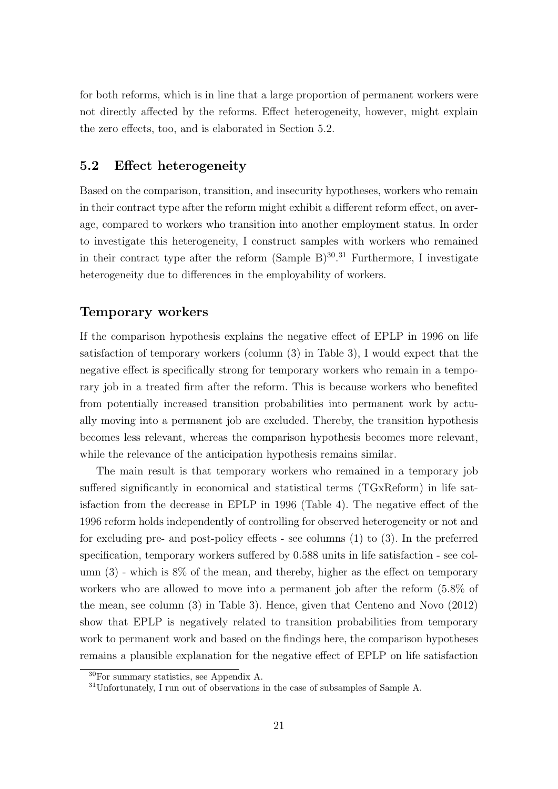for both reforms, which is in line that a large proportion of permanent workers were not directly affected by the reforms. Effect heterogeneity, however, might explain the zero effects, too, and is elaborated in Section 5.2.

#### 5.2 Effect heterogeneity

Based on the comparison, transition, and insecurity hypotheses, workers who remain in their contract type after the reform might exhibit a different reform effect, on average, compared to workers who transition into another employment status. In order to investigate this heterogeneity, I construct samples with workers who remained in their contract type after the reform  $(Sample B)^{30}.^{31}$  Furthermore, I investigate heterogeneity due to differences in the employability of workers.

#### Temporary workers

If the comparison hypothesis explains the negative effect of EPLP in 1996 on life satisfaction of temporary workers (column (3) in Table 3), I would expect that the negative effect is specifically strong for temporary workers who remain in a temporary job in a treated firm after the reform. This is because workers who benefited from potentially increased transition probabilities into permanent work by actually moving into a permanent job are excluded. Thereby, the transition hypothesis becomes less relevant, whereas the comparison hypothesis becomes more relevant, while the relevance of the anticipation hypothesis remains similar.

The main result is that temporary workers who remained in a temporary job suffered significantly in economical and statistical terms (TGxReform) in life satisfaction from the decrease in EPLP in 1996 (Table 4). The negative effect of the 1996 reform holds independently of controlling for observed heterogeneity or not and for excluding pre- and post-policy effects - see columns (1) to (3). In the preferred specification, temporary workers suffered by 0.588 units in life satisfaction - see column  $(3)$  - which is  $8\%$  of the mean, and thereby, higher as the effect on temporary workers who are allowed to move into a permanent job after the reform (5.8% of the mean, see column (3) in Table 3). Hence, given that Centeno and Novo (2012) show that EPLP is negatively related to transition probabilities from temporary work to permanent work and based on the findings here, the comparison hypotheses remains a plausible explanation for the negative effect of EPLP on life satisfaction

<sup>30</sup>For summary statistics, see Appendix A.

<sup>31</sup>Unfortunately, I run out of observations in the case of subsamples of Sample A.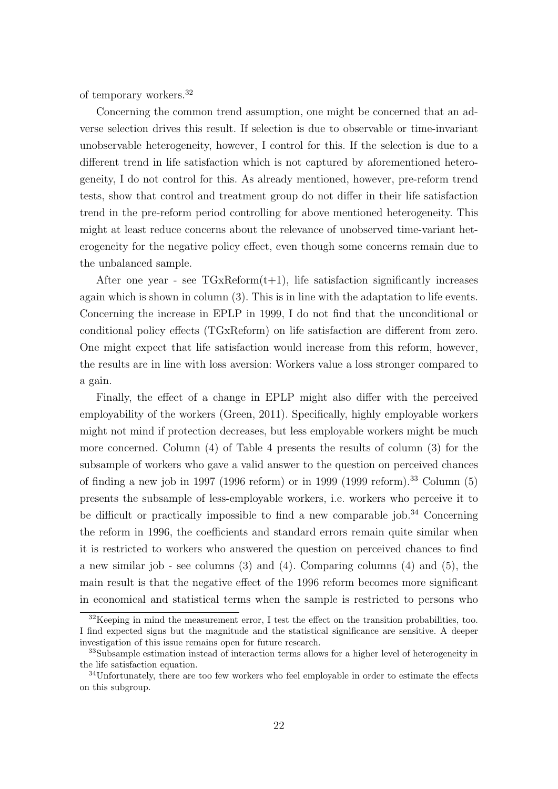of temporary workers.<sup>32</sup>

Concerning the common trend assumption, one might be concerned that an adverse selection drives this result. If selection is due to observable or time-invariant unobservable heterogeneity, however, I control for this. If the selection is due to a different trend in life satisfaction which is not captured by aforementioned heterogeneity, I do not control for this. As already mentioned, however, pre-reform trend tests, show that control and treatment group do not differ in their life satisfaction trend in the pre-reform period controlling for above mentioned heterogeneity. This might at least reduce concerns about the relevance of unobserved time-variant heterogeneity for the negative policy effect, even though some concerns remain due to the unbalanced sample.

After one year - see  $TGxReform(t+1)$ , life satisfaction significantly increases again which is shown in column (3). This is in line with the adaptation to life events. Concerning the increase in EPLP in 1999, I do not find that the unconditional or conditional policy effects (TGxReform) on life satisfaction are different from zero. One might expect that life satisfaction would increase from this reform, however, the results are in line with loss aversion: Workers value a loss stronger compared to a gain.

Finally, the effect of a change in EPLP might also differ with the perceived employability of the workers (Green, 2011). Specifically, highly employable workers might not mind if protection decreases, but less employable workers might be much more concerned. Column (4) of Table 4 presents the results of column (3) for the subsample of workers who gave a valid answer to the question on perceived chances of finding a new job in 1997 (1996 reform) or in 1999 (1999 reform).<sup>33</sup> Column (5) presents the subsample of less-employable workers, i.e. workers who perceive it to be difficult or practically impossible to find a new comparable job.<sup>34</sup> Concerning the reform in 1996, the coefficients and standard errors remain quite similar when it is restricted to workers who answered the question on perceived chances to find a new similar job - see columns (3) and (4). Comparing columns (4) and (5), the main result is that the negative effect of the 1996 reform becomes more significant in economical and statistical terms when the sample is restricted to persons who

 $32$ Keeping in mind the measurement error, I test the effect on the transition probabilities, too. I find expected signs but the magnitude and the statistical significance are sensitive. A deeper investigation of this issue remains open for future research.

<sup>33</sup>Subsample estimation instead of interaction terms allows for a higher level of heterogeneity in the life satisfaction equation.

 $34$ Unfortunately, there are too few workers who feel employable in order to estimate the effects on this subgroup.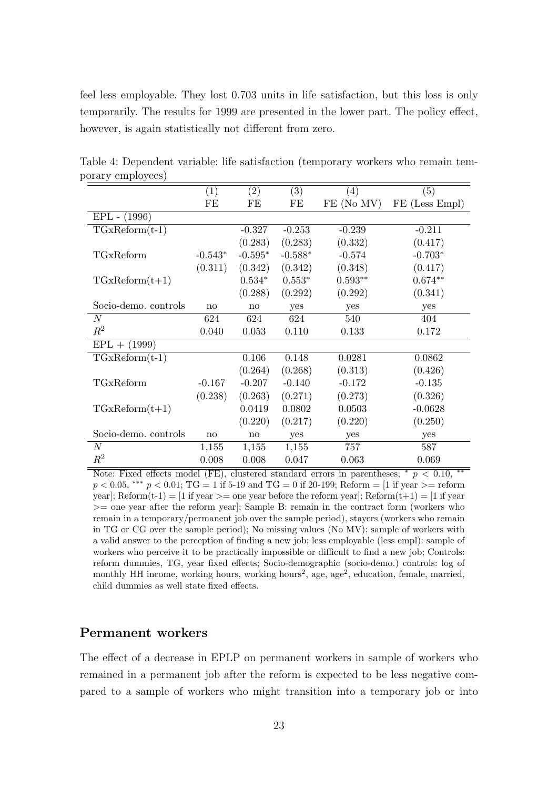feel less employable. They lost 0.703 units in life satisfaction, but this loss is only temporarily. The results for 1999 are presented in the lower part. The policy effect, however, is again statistically not different from zero.

|                      | (1)       | $\left( 2\right)$ | (3)       | (4)        | (5)            |
|----------------------|-----------|-------------------|-----------|------------|----------------|
|                      | FE        | FE                | FE        | FE (No MV) | FE (Less Empl) |
| $EPL - (1996)$       |           |                   |           |            |                |
| $TGxReform(t-1)$     |           | $-0.327$          | $-0.253$  | $-0.239$   | $-0.211$       |
|                      |           | (0.283)           | (0.283)   | (0.332)    | (0.417)        |
| TGxReform            | $-0.543*$ | $-0.595*$         | $-0.588*$ | $-0.574$   | $-0.703*$      |
|                      | (0.311)   | (0.342)           | (0.342)   | (0.348)    | (0.417)        |
| $TGxReform(t+1)$     |           | $0.534*$          | $0.553*$  | $0.593**$  | $0.674**$      |
|                      |           | (0.288)           | (0.292)   | (0.292)    | (0.341)        |
| Socio-demo. controls | no        | no                | yes       | yes        | yes            |
| N                    | 624       | 624               | 624       | 540        | 404            |
| $R^2$                | 0.040     | 0.053             | 0.110     | 0.133      | 0.172          |
| $EPL + (1999)$       |           |                   |           |            |                |
| $TGxReform(t-1)$     |           | 0.106             | 0.148     | 0.0281     | 0.0862         |
|                      |           | (0.264)           | (0.268)   | (0.313)    | (0.426)        |
| TGxReform            | $-0.167$  | $-0.207$          | $-0.140$  | $-0.172$   | $-0.135$       |
|                      | (0.238)   | (0.263)           | (0.271)   | (0.273)    | (0.326)        |
| $TGxReform(t+1)$     |           | 0.0419            | 0.0802    | 0.0503     | $-0.0628$      |
|                      |           | (0.220)           | (0.217)   | (0.220)    | (0.250)        |
| Socio-demo. controls | no        | no                | yes       | yes        | yes            |
| $\boldsymbol{N}$     | 1,155     | 1,155             | 1,155     | 757        | 587            |
| $R^2$                | 0.008     | 0.008             | 0.047     | 0.063      | 0.069          |

Table 4: Dependent variable: life satisfaction (temporary workers who remain temporary employees)

Note: Fixed effects model (FE), clustered standard errors in parentheses;  $\bar{p}$  < 0.10,  $p < 0.05$ , \*\*\*  $p < 0.01$ ; TG = 1 if 5-19 and TG = 0 if 20-199; Reform = [1 if year >= reform year]; Reform(t-1) = [1 if year >= one year before the reform year]; Reform(t+1) = [1 if year >= one year after the reform year]; Sample B: remain in the contract form (workers who remain in a temporary/permanent job over the sample period), stayers (workers who remain in TG or CG over the sample period); No missing values (No MV): sample of workers with a valid answer to the perception of finding a new job; less employable (less empl): sample of workers who perceive it to be practically impossible or difficult to find a new job; Controls: reform dummies, TG, year fixed effects; Socio-demographic (socio-demo.) controls: log of monthly HH income, working hours, working hours<sup>2</sup>, age, age<sup>2</sup>, education, female, married, child dummies as well state fixed effects.

#### Permanent workers

The effect of a decrease in EPLP on permanent workers in sample of workers who remained in a permanent job after the reform is expected to be less negative compared to a sample of workers who might transition into a temporary job or into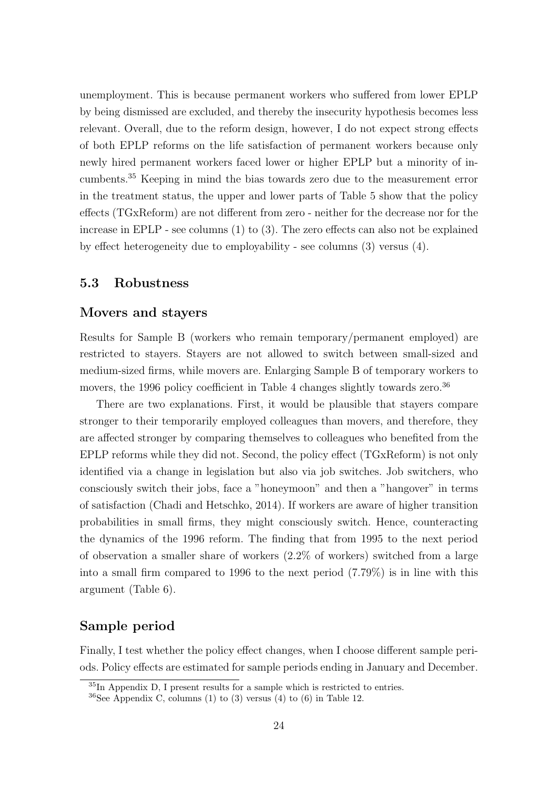unemployment. This is because permanent workers who suffered from lower EPLP by being dismissed are excluded, and thereby the insecurity hypothesis becomes less relevant. Overall, due to the reform design, however, I do not expect strong effects of both EPLP reforms on the life satisfaction of permanent workers because only newly hired permanent workers faced lower or higher EPLP but a minority of incumbents.<sup>35</sup> Keeping in mind the bias towards zero due to the measurement error in the treatment status, the upper and lower parts of Table 5 show that the policy effects (TGxReform) are not different from zero - neither for the decrease nor for the increase in EPLP - see columns (1) to (3). The zero effects can also not be explained by effect heterogeneity due to employability - see columns (3) versus (4).

#### 5.3 Robustness

#### Movers and stayers

Results for Sample B (workers who remain temporary/permanent employed) are restricted to stayers. Stayers are not allowed to switch between small-sized and medium-sized firms, while movers are. Enlarging Sample B of temporary workers to movers, the 1996 policy coefficient in Table 4 changes slightly towards zero.<sup>36</sup>

There are two explanations. First, it would be plausible that stayers compare stronger to their temporarily employed colleagues than movers, and therefore, they are affected stronger by comparing themselves to colleagues who benefited from the EPLP reforms while they did not. Second, the policy effect (TGxReform) is not only identified via a change in legislation but also via job switches. Job switchers, who consciously switch their jobs, face a "honeymoon" and then a "hangover" in terms of satisfaction (Chadi and Hetschko, 2014). If workers are aware of higher transition probabilities in small firms, they might consciously switch. Hence, counteracting the dynamics of the 1996 reform. The finding that from 1995 to the next period of observation a smaller share of workers (2.2% of workers) switched from a large into a small firm compared to 1996 to the next period (7.79%) is in line with this argument (Table 6).

#### Sample period

Finally, I test whether the policy effect changes, when I choose different sample periods. Policy effects are estimated for sample periods ending in January and December.

 $35$ In Appendix D, I present results for a sample which is restricted to entries.

 $36$ See Appendix C, columns (1) to (3) versus (4) to (6) in Table 12.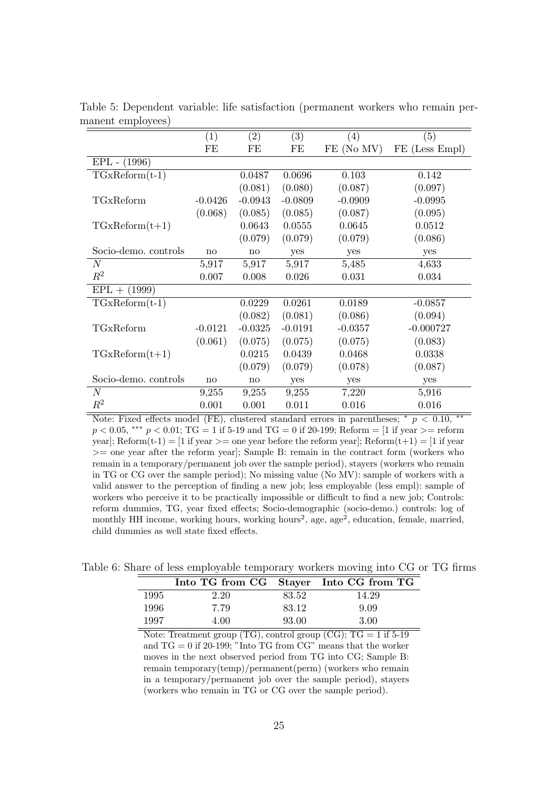|                      | (1)          | $\left( 2\right)$ | $\left( 3\right)$ | (4)        | (5)            |
|----------------------|--------------|-------------------|-------------------|------------|----------------|
|                      | FE           | FE                | FE                | FE (No MV) | FE (Less Empl) |
| EPL - (1996)         |              |                   |                   |            |                |
| $TGxReform(t-1)$     |              | 0.0487            | 0.0696            | 0.103      | 0.142          |
|                      |              | (0.081)           | (0.080)           | (0.087)    | (0.097)        |
| TGxReform            | $-0.0426$    | $-0.0943$         | $-0.0809$         | $-0.0909$  | $-0.0995$      |
|                      | (0.068)      | (0.085)           | (0.085)           | (0.087)    | (0.095)        |
| $TGxReform(t+1)$     |              | 0.0643            | 0.0555            | 0.0645     | 0.0512         |
|                      |              | (0.079)           | (0.079)           | (0.079)    | (0.086)        |
| Socio-demo. controls | no           | no                | yes               | yes        | yes            |
| N                    | 5,917        | 5,917             | 5,917             | 5,485      | 4,633          |
| $\,R^2$              | 0.007        | 0.008             | 0.026             | 0.031      | 0.034          |
| $EPL + (1999)$       |              |                   |                   |            |                |
| $TGxReform(t-1)$     |              | 0.0229            | 0.0261            | 0.0189     | $-0.0857$      |
|                      |              | (0.082)           | (0.081)           | (0.086)    | (0.094)        |
| TGxReform            | $-0.0121$    | $-0.0325$         | $-0.0191$         | $-0.0357$  | $-0.000727$    |
|                      | (0.061)      | (0.075)           | (0.075)           | (0.075)    | (0.083)        |
| $TGxReform(t+1)$     |              | 0.0215            | 0.0439            | 0.0468     | 0.0338         |
|                      |              | (0.079)           | (0.079)           | (0.078)    | (0.087)        |
| Socio-demo. controls | $\mathbf{n}$ | no                | yes               | yes        | yes            |
| $\boldsymbol{N}$     | 9,255        | 9,255             | 9,255             | 7,220      | 5,916          |
| $\,R^2$              | 0.001        | 0.001             | 0.011             | 0.016      | 0.016          |

Table 5: Dependent variable: life satisfaction (permanent workers who remain permanent employees)

Note: Fixed effects model (FE), clustered standard errors in parentheses; \*  $p < 0.10$ ,  $p < 0.05$ , \*\*\*  $p < 0.01$ ; TG = 1 if 5-19 and TG = 0 if 20-199; Reform = [1 if year >= reform year]; Reform(t-1) = [1 if year >= one year before the reform year]; Reform(t+1) = [1 if year >= one year after the reform year]; Sample B: remain in the contract form (workers who remain in a temporary/permanent job over the sample period), stayers (workers who remain in TG or CG over the sample period); No missing value (No MV): sample of workers with a valid answer to the perception of finding a new job; less employable (less empl): sample of workers who perceive it to be practically impossible or difficult to find a new job; Controls: reform dummies, TG, year fixed effects; Socio-demographic (socio-demo.) controls: log of monthly HH income, working hours, working hours<sup>2</sup>, age, age<sup>2</sup>, education, female, married, child dummies as well state fixed effects.

Table 6: Share of less employable temporary workers moving into CG or TG firms

|      | Into TG from CG Stayer Into CG from TG |       |       |
|------|----------------------------------------|-------|-------|
| 1995 | 2.20                                   | 83.52 | 14.29 |
| 1996 | 7.79                                   | 83.12 | 9.09  |
| 1997 | 4.00                                   | 93.00 | 3.00  |

Note: Treatment group  $(TG)$ , control group  $(CG)$ ;  $TG = 1$  if 5-19 and  $TG = 0$  if 20-199; "Into  $TG$  from  $CG$ " means that the worker moves in the next observed period from TG into CG; Sample B: remain temporary(temp)/permanent(perm) (workers who remain in a temporary/permanent job over the sample period), stayers (workers who remain in TG or CG over the sample period).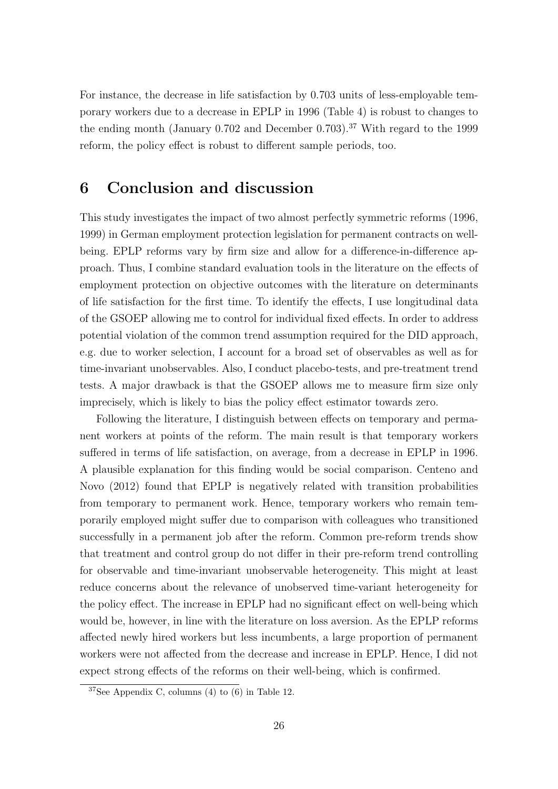For instance, the decrease in life satisfaction by 0.703 units of less-employable temporary workers due to a decrease in EPLP in 1996 (Table 4) is robust to changes to the ending month (January  $0.702$  and December  $0.703$ ).<sup>37</sup> With regard to the 1999 reform, the policy effect is robust to different sample periods, too.

## 6 Conclusion and discussion

This study investigates the impact of two almost perfectly symmetric reforms (1996, 1999) in German employment protection legislation for permanent contracts on wellbeing. EPLP reforms vary by firm size and allow for a difference-in-difference approach. Thus, I combine standard evaluation tools in the literature on the effects of employment protection on objective outcomes with the literature on determinants of life satisfaction for the first time. To identify the effects, I use longitudinal data of the GSOEP allowing me to control for individual fixed effects. In order to address potential violation of the common trend assumption required for the DID approach, e.g. due to worker selection, I account for a broad set of observables as well as for time-invariant unobservables. Also, I conduct placebo-tests, and pre-treatment trend tests. A major drawback is that the GSOEP allows me to measure firm size only imprecisely, which is likely to bias the policy effect estimator towards zero.

Following the literature, I distinguish between effects on temporary and permanent workers at points of the reform. The main result is that temporary workers suffered in terms of life satisfaction, on average, from a decrease in EPLP in 1996. A plausible explanation for this finding would be social comparison. Centeno and Novo (2012) found that EPLP is negatively related with transition probabilities from temporary to permanent work. Hence, temporary workers who remain temporarily employed might suffer due to comparison with colleagues who transitioned successfully in a permanent job after the reform. Common pre-reform trends show that treatment and control group do not differ in their pre-reform trend controlling for observable and time-invariant unobservable heterogeneity. This might at least reduce concerns about the relevance of unobserved time-variant heterogeneity for the policy effect. The increase in EPLP had no significant effect on well-being which would be, however, in line with the literature on loss aversion. As the EPLP reforms affected newly hired workers but less incumbents, a large proportion of permanent workers were not affected from the decrease and increase in EPLP. Hence, I did not expect strong effects of the reforms on their well-being, which is confirmed.

 $37$ See Appendix C, columns (4) to (6) in Table 12.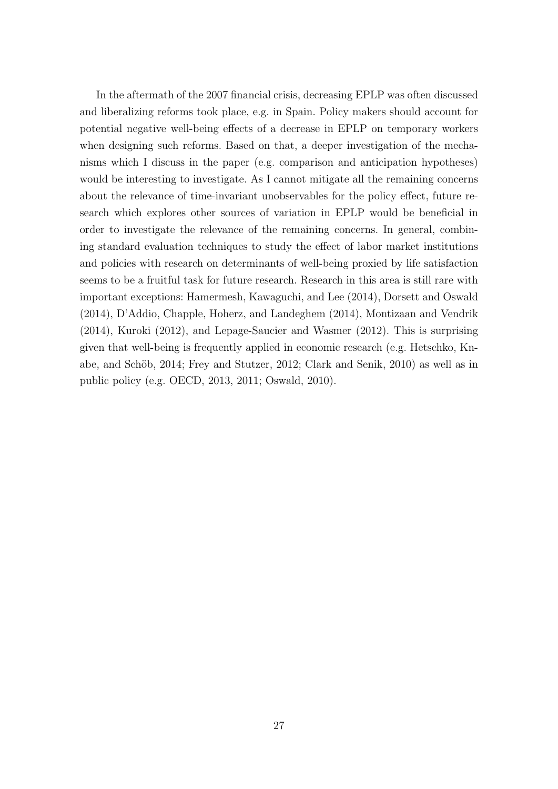In the aftermath of the 2007 financial crisis, decreasing EPLP was often discussed and liberalizing reforms took place, e.g. in Spain. Policy makers should account for potential negative well-being effects of a decrease in EPLP on temporary workers when designing such reforms. Based on that, a deeper investigation of the mechanisms which I discuss in the paper (e.g. comparison and anticipation hypotheses) would be interesting to investigate. As I cannot mitigate all the remaining concerns about the relevance of time-invariant unobservables for the policy effect, future research which explores other sources of variation in EPLP would be beneficial in order to investigate the relevance of the remaining concerns. In general, combining standard evaluation techniques to study the effect of labor market institutions and policies with research on determinants of well-being proxied by life satisfaction seems to be a fruitful task for future research. Research in this area is still rare with important exceptions: Hamermesh, Kawaguchi, and Lee (2014), Dorsett and Oswald (2014), D'Addio, Chapple, Hoherz, and Landeghem (2014), Montizaan and Vendrik (2014), Kuroki (2012), and Lepage-Saucier and Wasmer (2012). This is surprising given that well-being is frequently applied in economic research (e.g. Hetschko, Knabe, and Schöb, 2014; Frey and Stutzer, 2012; Clark and Senik, 2010) as well as in public policy (e.g. OECD, 2013, 2011; Oswald, 2010).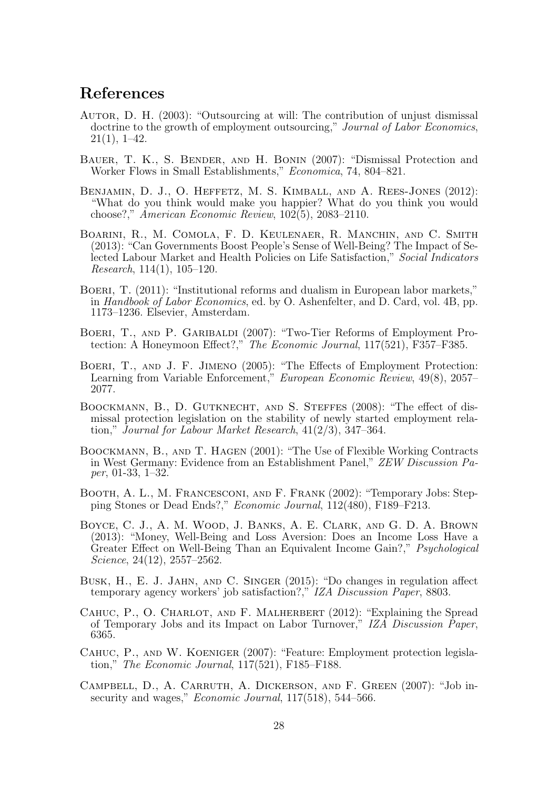## References

- AUTOR, D. H. (2003): "Outsourcing at will: The contribution of unjust dismissal doctrine to the growth of employment outsourcing," Journal of Labor Economics,  $21(1), 1-42.$
- BAUER, T. K., S. BENDER, AND H. BONIN (2007): "Dismissal Protection and Worker Flows in Small Establishments," Economica, 74, 804–821.
- BENJAMIN, D. J., O. HEFFETZ, M. S. KIMBALL, AND A. REES-JONES (2012): "What do you think would make you happier? What do you think you would choose?," American Economic Review, 102(5), 2083–2110.
- BOARINI, R., M. COMOLA, F. D. KEULENAER, R. MANCHIN, AND C. SMITH (2013): "Can Governments Boost People's Sense of Well-Being? The Impact of Selected Labour Market and Health Policies on Life Satisfaction," Social Indicators Research, 114(1), 105–120.
- Boeri, T. (2011): "Institutional reforms and dualism in European labor markets," in Handbook of Labor Economics, ed. by O. Ashenfelter, and D. Card, vol. 4B, pp. 1173–1236. Elsevier, Amsterdam.
- Boeri, T., and P. Garibaldi (2007): "Two-Tier Reforms of Employment Protection: A Honeymoon Effect?," The Economic Journal, 117(521), F357–F385.
- Boeri, T., and J. F. Jimeno (2005): "The Effects of Employment Protection: Learning from Variable Enforcement," European Economic Review, 49(8), 2057– 2077.
- Boockmann, B., D. Gutknecht, and S. Steffes (2008): "The effect of dismissal protection legislation on the stability of newly started employment relation," Journal for Labour Market Research, 41(2/3), 347–364.
- Boockmann, B., and T. Hagen (2001): "The Use of Flexible Working Contracts in West Germany: Evidence from an Establishment Panel," ZEW Discussion Paper, 01-33, 1–32.
- Booth, A. L., M. Francesconi, and F. Frank (2002): "Temporary Jobs: Stepping Stones or Dead Ends?," Economic Journal, 112(480), F189–F213.
- Boyce, C. J., A. M. Wood, J. Banks, A. E. Clark, and G. D. A. Brown (2013): "Money, Well-Being and Loss Aversion: Does an Income Loss Have a Greater Effect on Well-Being Than an Equivalent Income Gain?," Psychological Science, 24(12), 2557–2562.
- Busk, H., E. J. Jahn, and C. Singer (2015): "Do changes in regulation affect temporary agency workers' job satisfaction?," IZA Discussion Paper, 8803.
- CAHUC, P., O. CHARLOT, AND F. MALHERBERT (2012): "Explaining the Spread of Temporary Jobs and its Impact on Labor Turnover," IZA Discussion Paper, 6365.
- Cahuc, P., and W. Koeniger (2007): "Feature: Employment protection legislation," The Economic Journal, 117(521), F185–F188.
- Campbell, D., A. Carruth, A. Dickerson, and F. Green (2007): "Job insecurity and wages," *Economic Journal*, 117(518), 544–566.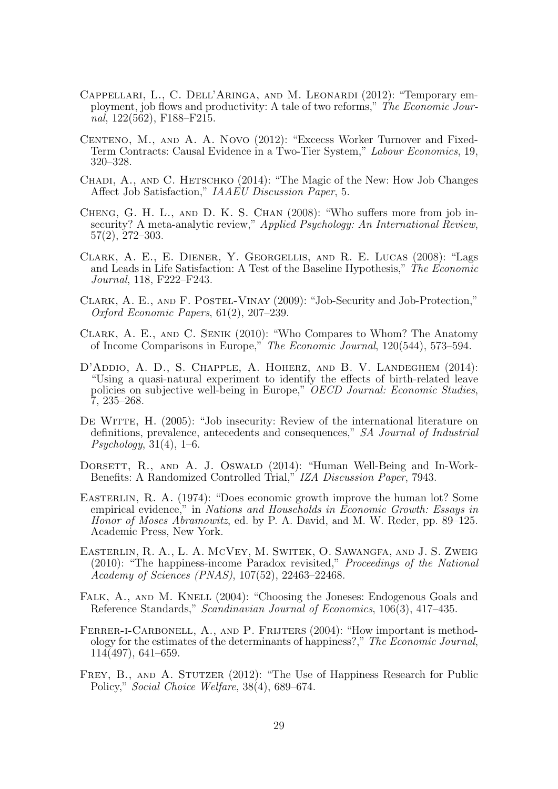- Cappellari, L., C. Dell'Aringa, and M. Leonardi (2012): "Temporary employment, job flows and productivity: A tale of two reforms," The Economic Journal, 122(562), F188–F215.
- CENTENO, M., AND A. A. NOVO (2012): "Excecss Worker Turnover and Fixed-Term Contracts: Causal Evidence in a Two-Tier System," Labour Economics, 19, 320–328.
- CHADI, A., AND C. HETSCHKO (2014): "The Magic of the New: How Job Changes Affect Job Satisfaction," IAAEU Discussion Paper, 5.
- Cheng, G. H. L., and D. K. S. Chan (2008): "Who suffers more from job insecurity? A meta-analytic review," Applied Psychology: An International Review, 57(2), 272–303.
- Clark, A. E., E. Diener, Y. Georgellis, and R. E. Lucas (2008): "Lags and Leads in Life Satisfaction: A Test of the Baseline Hypothesis," The Economic Journal, 118, F222–F243.
- Clark, A. E., and F. Postel-Vinay (2009): "Job-Security and Job-Protection," Oxford Economic Papers, 61(2), 207–239.
- Clark, A. E., and C. Senik (2010): "Who Compares to Whom? The Anatomy of Income Comparisons in Europe," The Economic Journal, 120(544), 573–594.
- D'Addio, A. D., S. Chapple, A. Hoherz, and B. V. Landeghem (2014): "Using a quasi-natural experiment to identify the effects of birth-related leave policies on subjective well-being in Europe," OECD Journal: Economic Studies, 7, 235–268.
- DE WITTE, H. (2005): "Job insecurity: Review of the international literature on definitions, prevalence, antecedents and consequences," SA Journal of Industrial  $P<sub>sychology</sub>, 31(4), 1–6.$
- DORSETT, R., AND A. J. OSWALD (2014): "Human Well-Being and In-Work-Benefits: A Randomized Controlled Trial," IZA Discussion Paper, 7943.
- Easterlin, R. A. (1974): "Does economic growth improve the human lot? Some empirical evidence," in Nations and Households in Economic Growth: Essays in Honor of Moses Abramowitz, ed. by P. A. David, and M. W. Reder, pp. 89–125. Academic Press, New York.
- Easterlin, R. A., L. A. McVey, M. Switek, O. Sawangfa, and J. S. Zweig (2010): "The happiness-income Paradox revisited," Proceedings of the National Academy of Sciences (PNAS), 107(52), 22463–22468.
- FALK, A., AND M. KNELL (2004): "Choosing the Joneses: Endogenous Goals and Reference Standards," Scandinavian Journal of Economics, 106(3), 417–435.
- FERRER-I-CARBONELL, A., AND P. FRIJTERS (2004): "How important is methodology for the estimates of the determinants of happiness?," The Economic Journal, 114(497), 641–659.
- FREY, B., AND A. STUTZER (2012): "The Use of Happiness Research for Public Policy," Social Choice Welfare, 38(4), 689–674.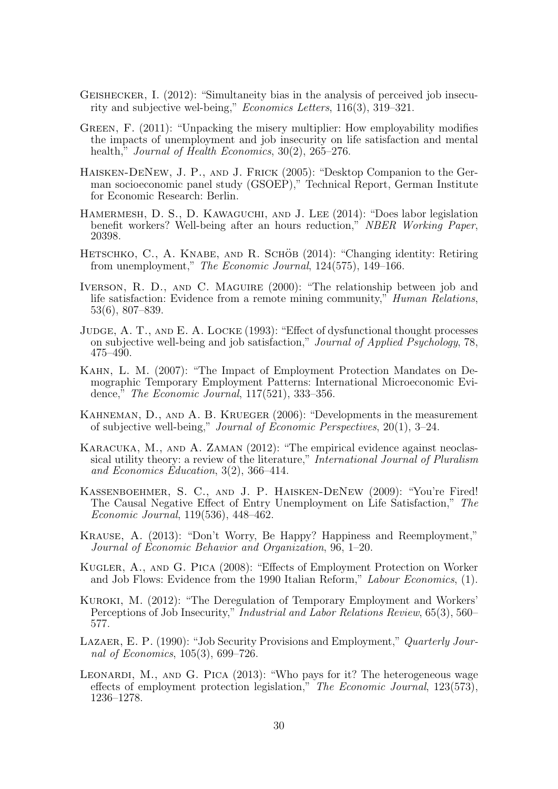- Geishecker, I. (2012): "Simultaneity bias in the analysis of perceived job insecurity and subjective wel-being," Economics Letters, 116(3), 319–321.
- Green, F. (2011): "Unpacking the misery multiplier: How employability modifies the impacts of unemployment and job insecurity on life satisfaction and mental health," Journal of Health Economics, 30(2), 265–276.
- Haisken-DeNew, J. P., and J. Frick (2005): "Desktop Companion to the German socioeconomic panel study (GSOEP)," Technical Report, German Institute for Economic Research: Berlin.
- HAMERMESH, D. S., D. KAWAGUCHI, AND J. LEE (2014): "Does labor legislation benefit workers? Well-being after an hours reduction," NBER Working Paper, 20398.
- HETSCHKO, C., A. KNABE, AND R. SCHÖB (2014): "Changing identity: Retiring from unemployment," The Economic Journal, 124(575), 149–166.
- IVERSON, R. D., AND C. MAGUIRE (2000): "The relationship between job and life satisfaction: Evidence from a remote mining community," *Human Relations*, 53(6), 807–839.
- JUDGE, A. T., AND E. A. LOCKE (1993): "Effect of dysfunctional thought processes on subjective well-being and job satisfaction," Journal of Applied Psychology, 78, 475–490.
- Kahn, L. M. (2007): "The Impact of Employment Protection Mandates on Demographic Temporary Employment Patterns: International Microeconomic Evidence," The Economic Journal, 117(521), 333–356.
- Kahneman, D., and A. B. Krueger (2006): "Developments in the measurement of subjective well-being," Journal of Economic Perspectives, 20(1), 3–24.
- KARACUKA, M., AND A. ZAMAN (2012): "The empirical evidence against neoclassical utility theory: a review of the literature," International Journal of Pluralism and Economics Education, 3(2), 366–414.
- Kassenboehmer, S. C., and J. P. Haisken-DeNew (2009): "You're Fired! The Causal Negative Effect of Entry Unemployment on Life Satisfaction," The Economic Journal, 119(536), 448–462.
- Krause, A. (2013): "Don't Worry, Be Happy? Happiness and Reemployment," Journal of Economic Behavior and Organization, 96, 1–20.
- Kugler, A., and G. Pica (2008): "Effects of Employment Protection on Worker and Job Flows: Evidence from the 1990 Italian Reform," Labour Economics, (1).
- Kuroki, M. (2012): "The Deregulation of Temporary Employment and Workers' Perceptions of Job Insecurity," Industrial and Labor Relations Review, 65(3), 560– 577.
- LAZAER, E. P. (1990): "Job Security Provisions and Employment," Quarterly Journal of Economics, 105(3), 699–726.
- LEONARDI, M., AND G. PICA  $(2013)$ : "Who pays for it? The heterogeneous wage effects of employment protection legislation," The Economic Journal, 123(573), 1236–1278.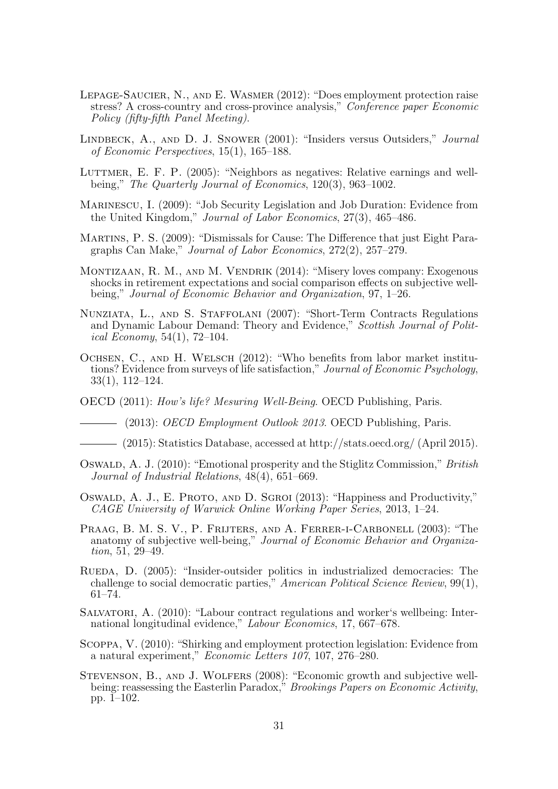- Lepage-Saucier, N., and E. Wasmer (2012): "Does employment protection raise stress? A cross-country and cross-province analysis," Conference paper Economic Policy (fifty-fifth Panel Meeting).
- Lindbeck, A., and D. J. Snower (2001): "Insiders versus Outsiders," Journal of Economic Perspectives, 15(1), 165–188.
- LUTTMER, E. F. P. (2005): "Neighbors as negatives: Relative earnings and wellbeing," The Quarterly Journal of Economics, 120(3), 963–1002.
- Marinescu, I. (2009): "Job Security Legislation and Job Duration: Evidence from the United Kingdom," Journal of Labor Economics, 27(3), 465–486.
- Martins, P. S. (2009): "Dismissals for Cause: The Difference that just Eight Paragraphs Can Make," Journal of Labor Economics, 272(2), 257–279.
- Montizaan, R. M., and M. Vendrik (2014): "Misery loves company: Exogenous shocks in retirement expectations and social comparison effects on subjective wellbeing," Journal of Economic Behavior and Organization, 97, 1–26.
- Nunziata, L., and S. Staffolani (2007): "Short-Term Contracts Regulations and Dynamic Labour Demand: Theory and Evidence," Scottish Journal of Political Economy,  $54(1)$ ,  $72-104$ .
- Ochsen, C., and H. Welsch (2012): "Who benefits from labor market institutions? Evidence from surveys of life satisfaction," Journal of Economic Psychology, 33(1), 112–124.
- OECD (2011): How's life? Mesuring Well-Being. OECD Publishing, Paris.
- (2013): *OECD Employment Outlook 2013*. OECD Publishing, Paris.
- (2015): Statistics Database, accessed at http://stats.oecd.org/ (April 2015).
- OSWALD, A. J. (2010): "Emotional prosperity and the Stiglitz Commission," British Journal of Industrial Relations, 48(4), 651–669.
- Oswald, A. J., E. Proto, and D. Sgroi (2013): "Happiness and Productivity," CAGE University of Warwick Online Working Paper Series, 2013, 1–24.
- PRAAG, B. M. S. V., P. FRIJTERS, AND A. FERRER-I-CARBONELL (2003): "The anatomy of subjective well-being," Journal of Economic Behavior and Organization, 51, 29–49.
- Rueda, D. (2005): "Insider-outsider politics in industrialized democracies: The challenge to social democratic parties," American Political Science Review, 99(1), 61–74.
- Salvatori, A. (2010): "Labour contract regulations and worker's wellbeing: International longitudinal evidence," Labour Economics, 17, 667–678.
- Scoppa, V. (2010): "Shirking and employment protection legislation: Evidence from a natural experiment," Economic Letters 107, 107, 276–280.
- Stevenson, B., and J. Wolfers (2008): "Economic growth and subjective wellbeing: reassessing the Easterlin Paradox," *Brookings Papers on Economic Activity*, pp. 1–102.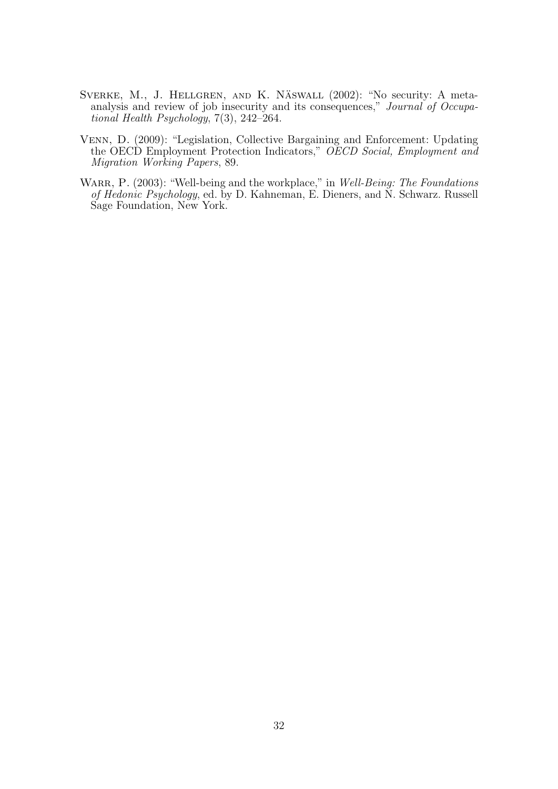- SVERKE, M., J. HELLGREN, AND K. NÄSWALL (2002): "No security: A metaanalysis and review of job insecurity and its consequences," Journal of Occupational Health Psychology, 7(3), 242–264.
- Venn, D. (2009): "Legislation, Collective Bargaining and Enforcement: Updating the OECD Employment Protection Indicators," OECD Social, Employment and Migration Working Papers, 89.
- WARR, P. (2003): "Well-being and the workplace," in Well-Being: The Foundations of Hedonic Psychology, ed. by D. Kahneman, E. Dieners, and N. Schwarz. Russell Sage Foundation, New York.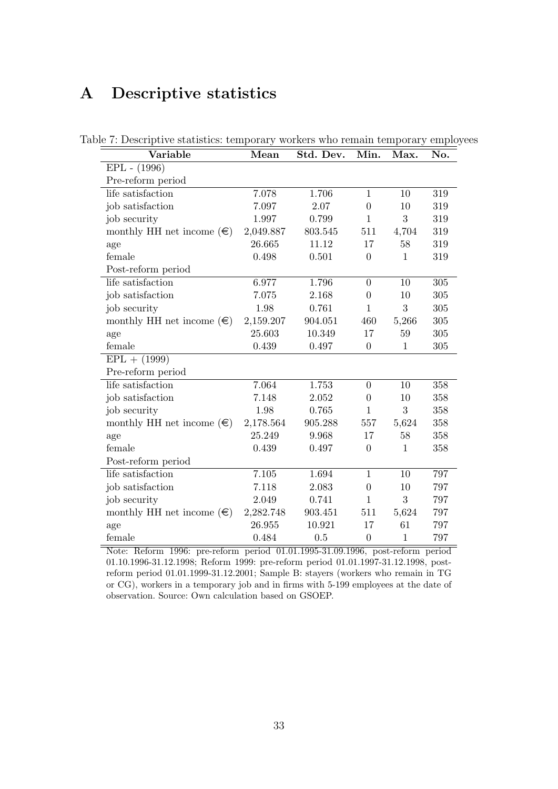## A Descriptive statistics

| Variable                           | Mean      | Std. Dev. | Min.             | Max.         | No. |
|------------------------------------|-----------|-----------|------------------|--------------|-----|
| $EPL - (1996)$                     |           |           |                  |              |     |
| Pre-reform period                  |           |           |                  |              |     |
| life satisfaction                  | 7.078     | 1.706     | $\mathbf{1}$     | 10           | 319 |
| job satisfaction                   | 7.097     | 2.07      | $\theta$         | 10           | 319 |
| job security                       | 1.997     | 0.799     | $\mathbf{1}$     | 3            | 319 |
| monthly HH net income $(\epsilon)$ | 2,049.887 | 803.545   | 511              | 4,704        | 319 |
| age                                | 26.665    | 11.12     | 17               | 58           | 319 |
| female                             | 0.498     | 0.501     | $\overline{0}$   | 1            | 319 |
| Post-reform period                 |           |           |                  |              |     |
| life satisfaction                  | 6.977     | 1.796     | $\overline{0}$   | 10           | 305 |
| job satisfaction                   | 7.075     | 2.168     | $\theta$         | 10           | 305 |
| job security                       | 1.98      | 0.761     | $\mathbf{1}$     | 3            | 305 |
| monthly HH net income $(\in)$      | 2,159.207 | 904.051   | 460              | 5,266        | 305 |
| age                                | 25.603    | 10.349    | 17               | 59           | 305 |
| female                             | 0.439     | 0.497     | $\boldsymbol{0}$ | $\mathbf{1}$ | 305 |
| $EPL + (1999)$                     |           |           |                  |              |     |
| Pre-reform period                  |           |           |                  |              |     |
| life satisfaction                  | 7.064     | 1.753     | $\Omega$         | 10           | 358 |
| job satisfaction                   | 7.148     | 2.052     | $\overline{0}$   | 10           | 358 |
| job security                       | 1.98      | 0.765     | $\mathbf{1}$     | 3            | 358 |
| monthly HH net income $(\in)$      | 2,178.564 | 905.288   | 557              | 5,624        | 358 |
| age                                | 25.249    | 9.968     | 17               | 58           | 358 |
| female                             | 0.439     | 0.497     | $\overline{0}$   | $\mathbf{1}$ | 358 |
| Post-reform period                 |           |           |                  |              |     |
| life satisfaction                  | 7.105     | 1.694     | $\mathbf{1}$     | 10           | 797 |
| job satisfaction                   | 7.118     | 2.083     | $\overline{0}$   | 10           | 797 |
| job security                       | 2.049     | 0.741     | 1                | 3            | 797 |
| monthly HH net income $(\in)$      | 2,282.748 | 903.451   | 511              | 5,624        | 797 |
| age                                | 26.955    | 10.921    | 17               | 61           | 797 |
| female                             | 0.484     | 0.5       | $\boldsymbol{0}$ | $\mathbf{1}$ | 797 |

Table 7: Descriptive statistics: temporary workers who remain temporary employees

Note: Reform 1996: pre-reform period 01.01.1995-31.09.1996, post-reform period 01.10.1996-31.12.1998; Reform 1999: pre-reform period 01.01.1997-31.12.1998, postreform period 01.01.1999-31.12.2001; Sample B: stayers (workers who remain in TG or CG), workers in a temporary job and in firms with 5-199 employees at the date of observation. Source: Own calculation based on GSOEP.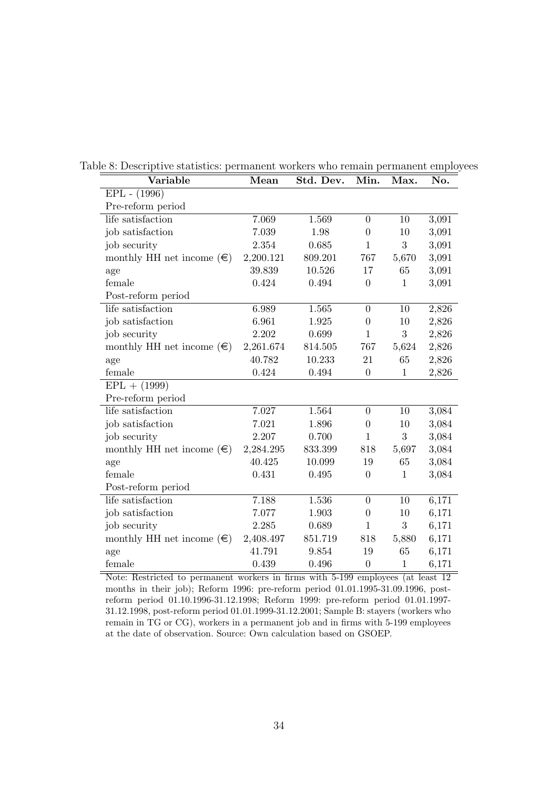| Variable                           | Mean      | Std. Dev. | Min.             | Max.         | No.   |
|------------------------------------|-----------|-----------|------------------|--------------|-------|
| $EPL - (1996)$                     |           |           |                  |              |       |
| Pre-reform period                  |           |           |                  |              |       |
| life satisfaction                  | 7.069     | 1.569     | $\boldsymbol{0}$ | 10           | 3,091 |
| job satisfaction                   | 7.039     | 1.98      | $\boldsymbol{0}$ | 10           | 3,091 |
| job security                       | 2.354     | 0.685     | $\mathbf{1}$     | 3            | 3,091 |
| monthly HH net income $(\in)$      | 2,200.121 | 809.201   | 767              | 5,670        | 3,091 |
| age                                | 39.839    | 10.526    | 17               | 65           | 3,091 |
| female                             | 0.424     | 0.494     | $\boldsymbol{0}$ | $\mathbf{1}$ | 3,091 |
| Post-reform period                 |           |           |                  |              |       |
| life satisfaction                  | 6.989     | 1.565     | $\boldsymbol{0}$ | 10           | 2,826 |
| job satisfaction                   | 6.961     | 1.925     | $\boldsymbol{0}$ | 10           | 2,826 |
| job security                       | 2.202     | 0.699     | $\mathbf{1}$     | $\sqrt{3}$   | 2,826 |
| monthly HH net income $(\epsilon)$ | 2,261.674 | 814.505   | 767              | 5,624        | 2,826 |
| age                                | 40.782    | 10.233    | 21               | 65           | 2,826 |
| female                             | 0.424     | 0.494     | $\boldsymbol{0}$ | $\mathbf{1}$ | 2,826 |
| $EPL + (1999)$                     |           |           |                  |              |       |
| Pre-reform period                  |           |           |                  |              |       |
| life satisfaction                  | 7.027     | 1.564     | $\boldsymbol{0}$ | 10           | 3,084 |
| job satisfaction                   | 7.021     | 1.896     | $\boldsymbol{0}$ | 10           | 3,084 |
| job security                       | 2.207     | 0.700     | $\mathbf{1}$     | 3            | 3,084 |
| monthly HH net income $(\epsilon)$ | 2,284.295 | 833.399   | 818              | 5,697        | 3,084 |
| age                                | 40.425    | 10.099    | 19               | 65           | 3,084 |
| female                             | 0.431     | 0.495     | $\boldsymbol{0}$ | $\mathbf{1}$ | 3,084 |
| Post-reform period                 |           |           |                  |              |       |
| life satisfaction                  | 7.188     | 1.536     | $\boldsymbol{0}$ | 10           | 6,171 |
| job satisfaction                   | 7.077     | 1.903     | $\boldsymbol{0}$ | 10           | 6,171 |
| job security                       | 2.285     | 0.689     | $\mathbf{1}$     | 3            | 6,171 |
| monthly HH net income $(\epsilon)$ | 2,408.497 | 851.719   | 818              | 5,880        | 6,171 |
| age                                | 41.791    | 9.854     | 19               | 65           | 6,171 |
| female                             | 0.439     | 0.496     | $\boldsymbol{0}$ | $\mathbf{1}$ | 6,171 |

Table 8: Descriptive statistics: permanent workers who remain permanent employees

Note: Restricted to permanent workers in firms with 5-199 employees (at least 12 months in their job); Reform 1996: pre-reform period 01.01.1995-31.09.1996, postreform period 01.10.1996-31.12.1998; Reform 1999: pre-reform period 01.01.1997- 31.12.1998, post-reform period 01.01.1999-31.12.2001; Sample B: stayers (workers who remain in TG or CG), workers in a permanent job and in firms with 5-199 employees at the date of observation. Source: Own calculation based on GSOEP.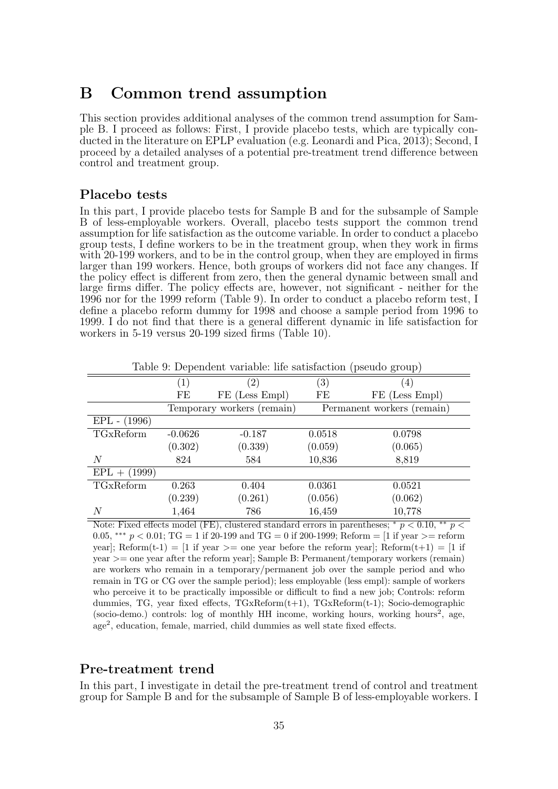## B Common trend assumption

This section provides additional analyses of the common trend assumption for Sample B. I proceed as follows: First, I provide placebo tests, which are typically conducted in the literature on EPLP evaluation (e.g. Leonardi and Pica, 2013); Second, I proceed by a detailed analyses of a potential pre-treatment trend difference between control and treatment group.

#### Placebo tests

In this part, I provide placebo tests for Sample B and for the subsample of Sample B of less-employable workers. Overall, placebo tests support the common trend assumption for life satisfaction as the outcome variable. In order to conduct a placebo group tests, I define workers to be in the treatment group, when they work in firms with 20-199 workers, and to be in the control group, when they are employed in firms larger than 199 workers. Hence, both groups of workers did not face any changes. If the policy effect is different from zero, then the general dynamic between small and large firms differ. The policy effects are, however, not significant - neither for the 1996 nor for the 1999 reform (Table 9). In order to conduct a placebo reform test, I define a placebo reform dummy for 1998 and choose a sample period from 1996 to 1999. I do not find that there is a general different dynamic in life satisfaction for workers in 5-19 versus 20-199 sized firms (Table 10).

|                  | $\left(1\right)$ | $\left( 2\right)$          | $\left( 3\right)$ | $\left(4\right)$           |
|------------------|------------------|----------------------------|-------------------|----------------------------|
|                  | FE               | FE (Less Empl)             | FE                | FE (Less Empl)             |
|                  |                  | Temporary workers (remain) |                   | Permanent workers (remain) |
| $EPL - (1996)$   |                  |                            |                   |                            |
| TGxReform        | $-0.0626$        | $-0.187$                   | 0.0518            | 0.0798                     |
|                  | (0.302)          | (0.339)                    | (0.059)           | (0.065)                    |
| $\boldsymbol{N}$ | 824              | 584                        | 10,836            | 8,819                      |
| $EPL + (1999)$   |                  |                            |                   |                            |
| TGxReform        | 0.263            | 0.404                      | 0.0361            | 0.0521                     |
|                  | (0.239)          | (0.261)                    | (0.056)           | (0.062)                    |
| N                | 1,464            | 786                        | 16,459            | 10,778                     |

Table 9: Dependent variable: life satisfaction (pseudo group)

Note: Fixed effects model (FE), clustered standard errors in parentheses; \*  $p < 0.10$ , \*\*  $p <$ 0.05, \*\*\*  $p < 0.01$ ; TG = 1 if 20-199 and TG = 0 if 200-1999; Reform = [1 if year >= reform year]; Reform(t-1) = [1 if year >= one year before the reform year]; Reform(t+1) = [1 if year >= one year after the reform year]; Sample B: Permanent/temporary workers (remain) are workers who remain in a temporary/permanent job over the sample period and who remain in TG or CG over the sample period); less employable (less empl): sample of workers who perceive it to be practically impossible or difficult to find a new job; Controls: reform dummies, TG, year fixed effects, TGxReform(t+1), TGxReform(t-1); Socio-demographic (socio-demo.) controls: log of monthly HH income, working hours, working hours<sup>2</sup>, age, age<sup>2</sup> , education, female, married, child dummies as well state fixed effects.

#### Pre-treatment trend

In this part, I investigate in detail the pre-treatment trend of control and treatment group for Sample B and for the subsample of Sample B of less-employable workers. I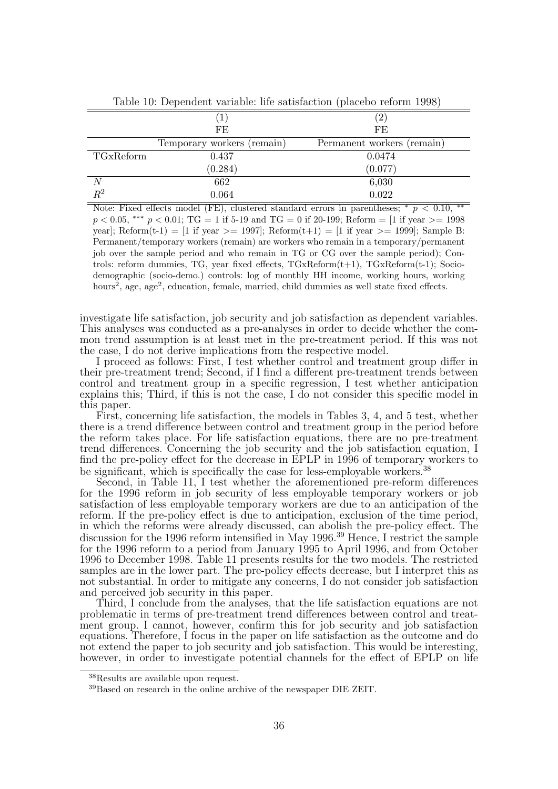|             | $\perp$                    | $\overline{2}$             |
|-------------|----------------------------|----------------------------|
|             | FE                         | FE                         |
|             | Temporary workers (remain) | Permanent workers (remain) |
| TGxReform   | 0.437                      | 0.0474                     |
|             | (0.284)                    | (0.077)                    |
|             | 662                        | 6,030                      |
| $\bar{R}^2$ | 0.064                      | 0.022                      |

Table 10: Dependent variable: life satisfaction (placebo reform 1998)

Note: Fixed effects model (FE), clustered standard errors in parentheses;  $*$   $p < 0.10$ , \*\*  $p < 0.05$ , \*\*\*  $p < 0.01$ ; TG = 1 if 5-19 and TG = 0 if 20-199; Reform = [1 if year >= 1998 year]; Reform(t-1) = [1 if year >= 1997]; Reform(t+1) = [1 if year >= 1999]; Sample B: Permanent/temporary workers (remain) are workers who remain in a temporary/permanent job over the sample period and who remain in TG or CG over the sample period); Controls: reform dummies, TG, year fixed effects, TGxReform(t+1), TGxReform(t-1); Sociodemographic (socio-demo.) controls: log of monthly HH income, working hours, working hours<sup>2</sup>, age, age<sup>2</sup>, education, female, married, child dummies as well state fixed effects.

investigate life satisfaction, job security and job satisfaction as dependent variables. This analyses was conducted as a pre-analyses in order to decide whether the common trend assumption is at least met in the pre-treatment period. If this was not the case, I do not derive implications from the respective model.

I proceed as follows: First, I test whether control and treatment group differ in their pre-treatment trend; Second, if I find a different pre-treatment trends between control and treatment group in a specific regression, I test whether anticipation explains this; Third, if this is not the case, I do not consider this specific model in this paper.

First, concerning life satisfaction, the models in Tables 3, 4, and 5 test, whether there is a trend difference between control and treatment group in the period before the reform takes place. For life satisfaction equations, there are no pre-treatment trend differences. Concerning the job security and the job satisfaction equation, I find the pre-policy effect for the decrease in EPLP in 1996 of temporary workers to be significant, which is specifically the case for less-employable workers.<sup>38</sup>

Second, in Table 11, I test whether the aforementioned pre-reform differences for the 1996 reform in job security of less employable temporary workers or job satisfaction of less employable temporary workers are due to an anticipation of the reform. If the pre-policy effect is due to anticipation, exclusion of the time period, in which the reforms were already discussed, can abolish the pre-policy effect. The discussion for the 1996 reform intensified in May 1996.<sup>39</sup> Hence, I restrict the sample for the 1996 reform to a period from January 1995 to April 1996, and from October 1996 to December 1998. Table 11 presents results for the two models. The restricted samples are in the lower part. The pre-policy effects decrease, but I interpret this as not substantial. In order to mitigate any concerns, I do not consider job satisfaction and perceived job security in this paper.

Third, I conclude from the analyses, that the life satisfaction equations are not problematic in terms of pre-treatment trend differences between control and treatment group. I cannot, however, confirm this for job security and job satisfaction equations. Therefore, I focus in the paper on life satisfaction as the outcome and do not extend the paper to job security and job satisfaction. This would be interesting, however, in order to investigate potential channels for the effect of EPLP on life

<sup>38</sup>Results are available upon request.

<sup>39</sup>Based on research in the online archive of the newspaper DIE ZEIT.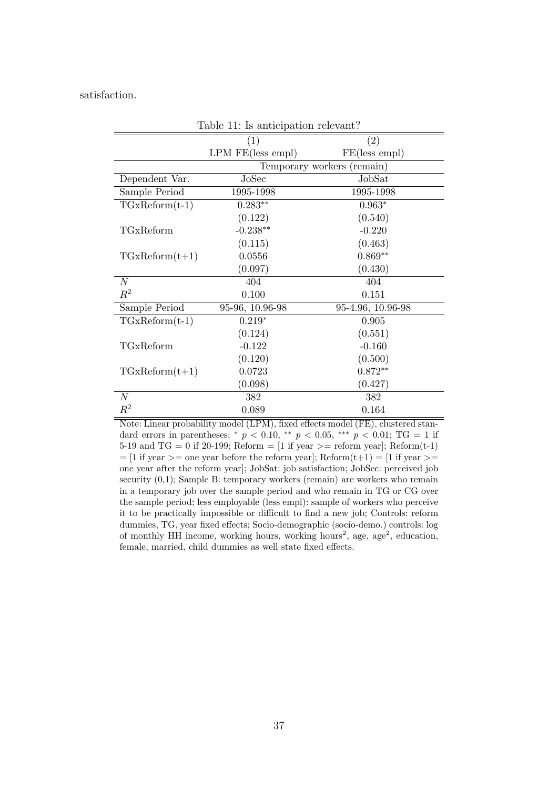satisfaction.

|                  | (1)                 | (2)                        |
|------------------|---------------------|----------------------------|
|                  | $LPM$ FE(less empl) | FE(less empl)              |
|                  |                     | Temporary workers (remain) |
| Dependent Var.   | JoSec               | JobSat                     |
| Sample Period    | 1995-1998           | 1995-1998                  |
| $TGxReform(t-1)$ | $0.283**$           | $0.963*$                   |
|                  | (0.122)             | (0.540)                    |
| TGxReform        | $-0.238**$          | $-0.220$                   |
|                  | (0.115)             | (0.463)                    |
| $TGxReform(t+1)$ | 0.0556              | $0.869**$                  |
|                  | (0.097)             | (0.430)                    |
| N                | 404                 | 404                        |
| $\mathbb{R}^2$   | 0.100               | 0.151                      |
| Sample Period    | 95-96, 10.96-98     | 95-4.96, 10.96-98          |
| $TGxReform(t-1)$ | $0.219*$            | 0.905                      |
|                  | (0.124)             | (0.551)                    |
| TGxReform        | $-0.122$            | $-0.160$                   |
|                  | (0.120)             | (0.500)                    |
| $TGxReform(t+1)$ | 0.0723              | $0.872**$                  |
|                  | (0.098)             | (0.427)                    |
| N                | 382                 | 382                        |
| $\mathbb{R}^2$   | 0.089               | 0.164                      |

Table 11: Is anticipation relevant?

Note: Linear probability model (LPM), fixed effects model (FE), clustered standard errors in parentheses; \*  $p < 0.10$ , \*\*  $p < 0.05$ , \*\*\*  $p < 0.01$ ; TG = 1 if 5-19 and  $TG = 0$  if 20-199; Reform  $= [1 \text{ if year} > = \text{reform year}]$ ; Reform $(t-1)$  $=$  [1 if year  $>=$  one year before the reform year]; Reform $(t+1) =$  [1 if year  $>=$ one year after the reform year]; JobSat: job satisfaction; JobSec: perceived job security  $(0,1)$ ; Sample B: temporary workers (remain) are workers who remain in a temporary job over the sample period and who remain in TG or CG over the sample period; less employable (less empl): sample of workers who perceive it to be practically impossible or difficult to find a new job; Controls: reform dummies, TG, year fixed effects; Socio-demographic (socio-demo.) controls: log of monthly HH income, working hours, working hours<sup>2</sup>, age, age<sup>2</sup>, education, female, married, child dummies as well state fixed effects.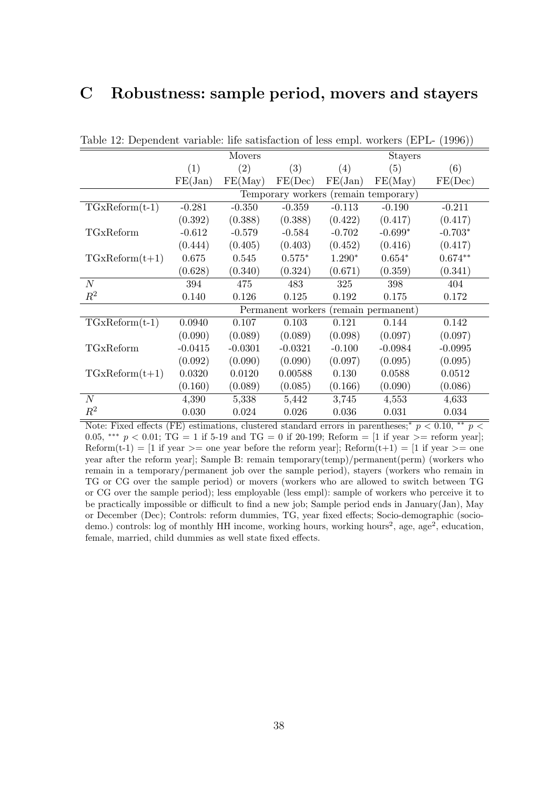## C Robustness: sample period, movers and stayers

| $\frac{1}{2}$ $\frac{1}{2}$ $\frac{1}{2}$ $\frac{1}{2}$ $\frac{1}{2}$ $\frac{1}{2}$ $\frac{1}{2}$ $\frac{1}{2}$ $\frac{1}{2}$ $\frac{1}{2}$ $\frac{1}{2}$ $\frac{1}{2}$ $\frac{1}{2}$ $\frac{1}{2}$ $\frac{1}{2}$ $\frac{1}{2}$ $\frac{1}{2}$ $\frac{1}{2}$ $\frac{1}{2}$ $\frac{1}{2}$ $\frac{1}{2}$ $\frac{1}{2}$ |           |           |           |          |                                      |           |
|---------------------------------------------------------------------------------------------------------------------------------------------------------------------------------------------------------------------------------------------------------------------------------------------------------------------|-----------|-----------|-----------|----------|--------------------------------------|-----------|
|                                                                                                                                                                                                                                                                                                                     |           | Movers    |           |          | <b>Stayers</b>                       |           |
|                                                                                                                                                                                                                                                                                                                     | (1)       | (2)       | (3)       | (4)      | (5)                                  | (6)       |
|                                                                                                                                                                                                                                                                                                                     | FE(Jan)   | FE(May)   | FE(Dec)   | FE(Jan)  | FE(May)                              | FE(Dec)   |
|                                                                                                                                                                                                                                                                                                                     |           |           |           |          | Temporary workers (remain temporary) |           |
| $TGxReform(t-1)$                                                                                                                                                                                                                                                                                                    | $-0.281$  | $-0.350$  | $-0.359$  | $-0.113$ | $-0.190$                             | $-0.211$  |
|                                                                                                                                                                                                                                                                                                                     | (0.392)   | (0.388)   | (0.388)   | (0.422)  | (0.417)                              | (0.417)   |
| TGxReform                                                                                                                                                                                                                                                                                                           | $-0.612$  | $-0.579$  | $-0.584$  | $-0.702$ | $-0.699*$                            | $-0.703*$ |
|                                                                                                                                                                                                                                                                                                                     | (0.444)   | (0.405)   | (0.403)   | (0.452)  | (0.416)                              | (0.417)   |
| $TGxReform(t+1)$                                                                                                                                                                                                                                                                                                    | 0.675     | 0.545     | $0.575*$  | $1.290*$ | $0.654*$                             | $0.674**$ |
|                                                                                                                                                                                                                                                                                                                     | (0.628)   | (0.340)   | (0.324)   | (0.671)  | (0.359)                              | (0.341)   |
| N                                                                                                                                                                                                                                                                                                                   | 394       | 475       | 483       | 325      | 398                                  | 404       |
| $R^2$                                                                                                                                                                                                                                                                                                               | 0.140     | 0.126     | 0.125     | 0.192    | 0.175                                | 0.172     |
|                                                                                                                                                                                                                                                                                                                     |           |           |           |          | Permanent workers (remain permanent) |           |
| $TGxReform(t-1)$                                                                                                                                                                                                                                                                                                    | 0.0940    | 0.107     | 0.103     | 0.121    | 0.144                                | 0.142     |
|                                                                                                                                                                                                                                                                                                                     | (0.090)   | (0.089)   | (0.089)   | (0.098)  | (0.097)                              | (0.097)   |
| TGxReform                                                                                                                                                                                                                                                                                                           | $-0.0415$ | $-0.0301$ | $-0.0321$ | $-0.100$ | $-0.0984$                            | $-0.0995$ |
|                                                                                                                                                                                                                                                                                                                     | (0.092)   | (0.090)   | (0.090)   | (0.097)  | (0.095)                              | (0.095)   |
| $TGxReform(t+1)$                                                                                                                                                                                                                                                                                                    | 0.0320    | 0.0120    | 0.00588   | 0.130    | 0.0588                               | 0.0512    |
|                                                                                                                                                                                                                                                                                                                     | (0.160)   | (0.089)   | (0.085)   | (0.166)  | (0.090)                              | (0.086)   |
| $\mathcal N$                                                                                                                                                                                                                                                                                                        | 4,390     | 5,338     | 5,442     | 3,745    | 4,553                                | 4,633     |
| $\mathbb{R}^2$                                                                                                                                                                                                                                                                                                      | 0.030     | 0.024     | 0.026     | 0.036    | 0.031                                | 0.034     |

Table 12: Dependent variable: life satisfaction of less empl. workers (EPL- (1996))

Note: Fixed effects (FE) estimations, clustered standard errors in parentheses;<sup>\*</sup>  $p < 0.10$ , \*\*  $p <$ 0.05, \*\*\*  $p < 0.01$ ; TG = 1 if 5-19 and TG = 0 if 20-199; Reform = [1 if year >= reform year]; Reform $(t-1) = [1 \text{ if year }>=$  one year before the reform year]; Reform $(t+1) = [1 \text{ if year }>=$  one year after the reform year]; Sample B: remain temporary(temp)/permanent(perm) (workers who remain in a temporary/permanent job over the sample period), stayers (workers who remain in TG or CG over the sample period) or movers (workers who are allowed to switch between TG or CG over the sample period); less employable (less empl): sample of workers who perceive it to be practically impossible or difficult to find a new job; Sample period ends in January(Jan), May or December (Dec); Controls: reform dummies, TG, year fixed effects; Socio-demographic (sociodemo.) controls: log of monthly HH income, working hours, working hours<sup>2</sup>, age, age<sup>2</sup>, education, female, married, child dummies as well state fixed effects.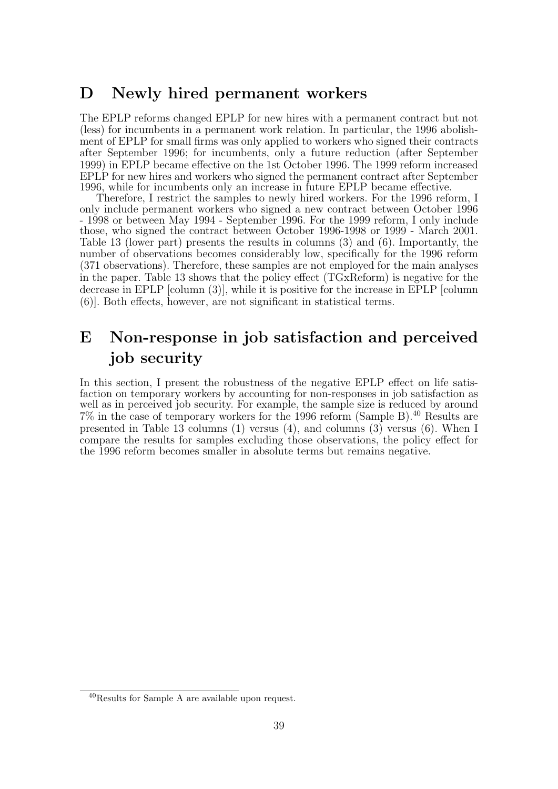## D Newly hired permanent workers

The EPLP reforms changed EPLP for new hires with a permanent contract but not (less) for incumbents in a permanent work relation. In particular, the 1996 abolishment of EPLP for small firms was only applied to workers who signed their contracts after September 1996; for incumbents, only a future reduction (after September 1999) in EPLP became effective on the 1st October 1996. The 1999 reform increased EPLP for new hires and workers who signed the permanent contract after September 1996, while for incumbents only an increase in future EPLP became effective.

Therefore, I restrict the samples to newly hired workers. For the 1996 reform, I only include permanent workers who signed a new contract between October 1996 - 1998 or between May 1994 - September 1996. For the 1999 reform, I only include those, who signed the contract between October 1996-1998 or 1999 - March 2001. Table 13 (lower part) presents the results in columns (3) and (6). Importantly, the number of observations becomes considerably low, specifically for the 1996 reform (371 observations). Therefore, these samples are not employed for the main analyses in the paper. Table 13 shows that the policy effect (TGxReform) is negative for the decrease in EPLP [column (3)], while it is positive for the increase in EPLP [column (6)]. Both effects, however, are not significant in statistical terms.

## E Non-response in job satisfaction and perceived job security

In this section, I present the robustness of the negative EPLP effect on life satisfaction on temporary workers by accounting for non-responses in job satisfaction as well as in perceived job security. For example, the sample size is reduced by around  $7\%$  in the case of temporary workers for the 1996 reform (Sample B).<sup>40</sup> Results are presented in Table 13 columns (1) versus (4), and columns (3) versus (6). When I compare the results for samples excluding those observations, the policy effect for the 1996 reform becomes smaller in absolute terms but remains negative.

<sup>40</sup>Results for Sample A are available upon request.